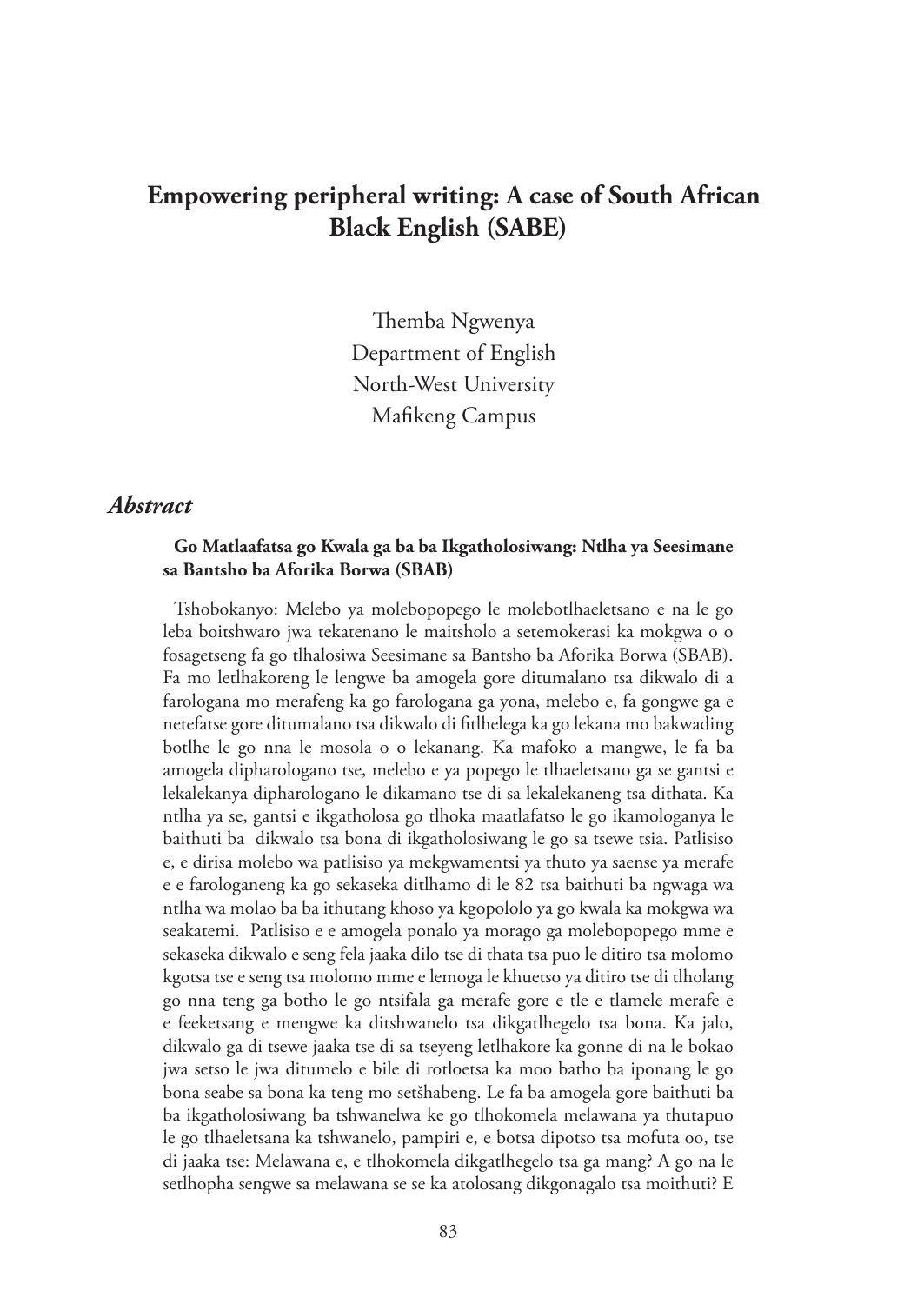# **Empowering peripheral writing: A case of South African Black English (SABE)**

Themba Ngwenya Department of English North-West University Mafikeng Campus

### *Abstract*

#### **Go Matlaafatsa go Kwala ga ba ba Ikgatholosiwang: Ntlha ya Seesimane sa Bantsho ba Aforika Borwa (SBAB)**

Tshobokanyo: Melebo ya molebopopego le molebotlhaeletsano e na le go leba boitshwaro jwa tekatenano le maitsholo a setemokerasi ka mokgwa o o fosagetseng fa go tlhalosiwa Seesimane sa Bantsho ba Aforika Borwa (SBAB). Fa mo letlhakoreng le lengwe ba amogela gore ditumalano tsa dikwalo di a farologana mo merafeng ka go farologana ga yona, melebo e, fa gongwe ga e netefatse gore ditumalano tsa dikwalo di fitlhelega ka go lekana mo bakwading botlhe le go nna le mosola o o lekanang. Ka mafoko a mangwe, le fa ba amogela dipharologano tse, melebo e ya popego le tlhaeletsano ga se gantsi e lekalekanya dipharologano le dikamano tse di sa lekalekaneng tsa dithata. Ka ntlha ya se, gantsi e ikgatholosa go tlhoka maatlafatso le go ikamologanya le baithuti ba dikwalo tsa bona di ikgatholosiwang le go sa tsewe tsia. Patlisiso e, e dirisa molebo wa patlisiso ya mekgwamentsi ya thuto ya saense ya merafe e e farologaneng ka go sekaseka ditlhamo di le 82 tsa baithuti ba ngwaga wa ntlha wa molao ba ba ithutang khoso ya kgopololo ya go kwala ka mokgwa wa seakatemi. Patlisiso e e amogela ponalo ya morago ga molebopopego mme e sekaseka dikwalo e seng fela jaaka dilo tse di thata tsa puo le ditiro tsa molomo kgotsa tse e seng tsa molomo mme e lemoga le khuetso ya ditiro tse di tlholang go nna teng ga botho le go ntsifala ga merafe gore e tle e tlamele merafe e e feeketsang e mengwe ka ditshwanelo tsa dikgatlhegelo tsa bona. Ka jalo, dikwalo ga di tsewe jaaka tse di sa tseyeng letlhakore ka gonne di na le bokao jwa setso le jwa ditumelo e bile di rotloetsa ka moo batho ba iponang le go bona seabe sa bona ka teng mo setšhabeng. Le fa ba amogela gore baithuti ba ba ikgatholosiwang ba tshwanelwa ke go tlhokomela melawana ya thutapuo le go tlhaeletsana ka tshwanelo, pampiri e, e botsa dipotso tsa mofuta oo, tse di jaaka tse: Melawana e, e tlhokomela dikgatlhegelo tsa ga mang? A go na le setlhopha sengwe sa melawana se se ka atolosang dikgonagalo tsa moithuti? E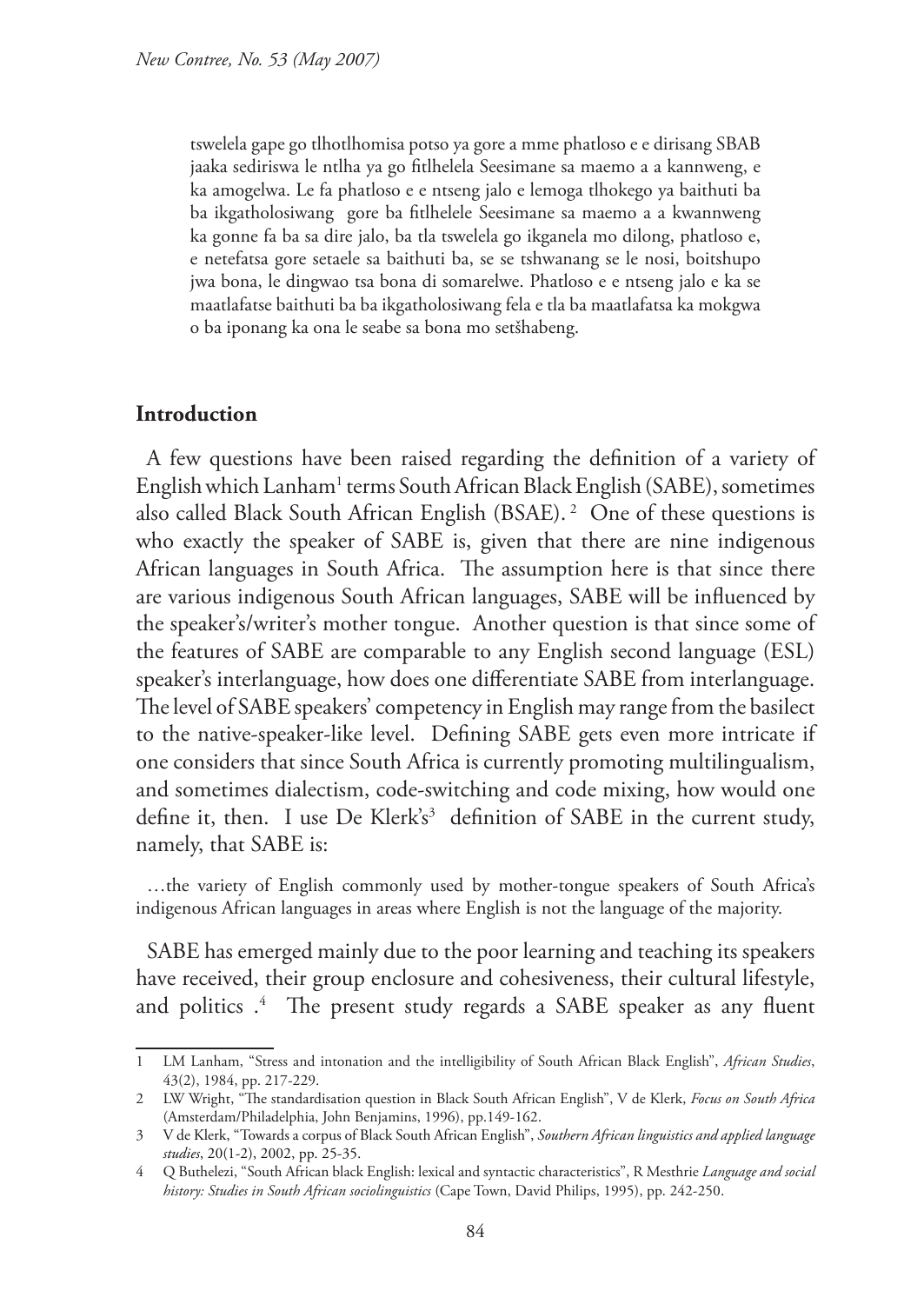tswelela gape go tlhotlhomisa potso ya gore a mme phatloso e e dirisang SBAB jaaka sediriswa le ntlha ya go fitlhelela Seesimane sa maemo a a kannweng, e ka amogelwa. Le fa phatloso e e ntseng jalo e lemoga tlhokego ya baithuti ba ba ikgatholosiwang gore ba fitlhelele Seesimane sa maemo a a kwannweng ka gonne fa ba sa dire jalo, ba tla tswelela go ikganela mo dilong, phatloso e, e netefatsa gore setaele sa baithuti ba, se se tshwanang se le nosi, boitshupo jwa bona, le dingwao tsa bona di somarelwe. Phatloso e e ntseng jalo e ka se maatlafatse baithuti ba ba ikgatholosiwang fela e tla ba maatlafatsa ka mokgwa o ba iponang ka ona le seabe sa bona mo setšhabeng.

### **Introduction**

A few questions have been raised regarding the definition of a variety of English which Lanham<sup>1</sup> terms South African Black English (SABE), sometimes also called Black South African English (BSAE). 2 One of these questions is who exactly the speaker of SABE is, given that there are nine indigenous African languages in South Africa. The assumption here is that since there are various indigenous South African languages, SABE will be influenced by the speaker's/writer's mother tongue. Another question is that since some of the features of SABE are comparable to any English second language (ESL) speaker's interlanguage, how does one differentiate SABE from interlanguage. The level of SABE speakers' competency in English may range from the basilect to the native-speaker-like level. Defining SABE gets even more intricate if one considers that since South Africa is currently promoting multilingualism, and sometimes dialectism, code-switching and code mixing, how would one define it, then. I use De Klerk's<sup>3</sup> definition of SABE in the current study, namely, that SABE is:

…the variety of English commonly used by mother-tongue speakers of South Africa's indigenous African languages in areas where English is not the language of the majority.

SABE has emerged mainly due to the poor learning and teaching its speakers have received, their group enclosure and cohesiveness, their cultural lifestyle, and politics .4 The present study regards a SABE speaker as any fluent

<sup>1</sup> LM Lanham, "Stress and intonation and the intelligibility of South African Black English", *African Studies*, 43(2), 1984, pp. 217-229.

<sup>2</sup> LW Wright, "The standardisation question in Black South African English", V de Klerk, *Focus on South Africa* (Amsterdam/Philadelphia, John Benjamins, 1996), pp.149-162.

<sup>3</sup> V de Klerk, "Towards a corpus of Black South African English", *Southern African linguistics and applied language studies*, 20(1-2), 2002, pp. 25-35.

<sup>4</sup> Q Buthelezi, "South African black English: lexical and syntactic characteristics", R Mesthrie *Language and social history: Studies in South African sociolinguistics* (Cape Town, David Philips, 1995), pp. 242-250.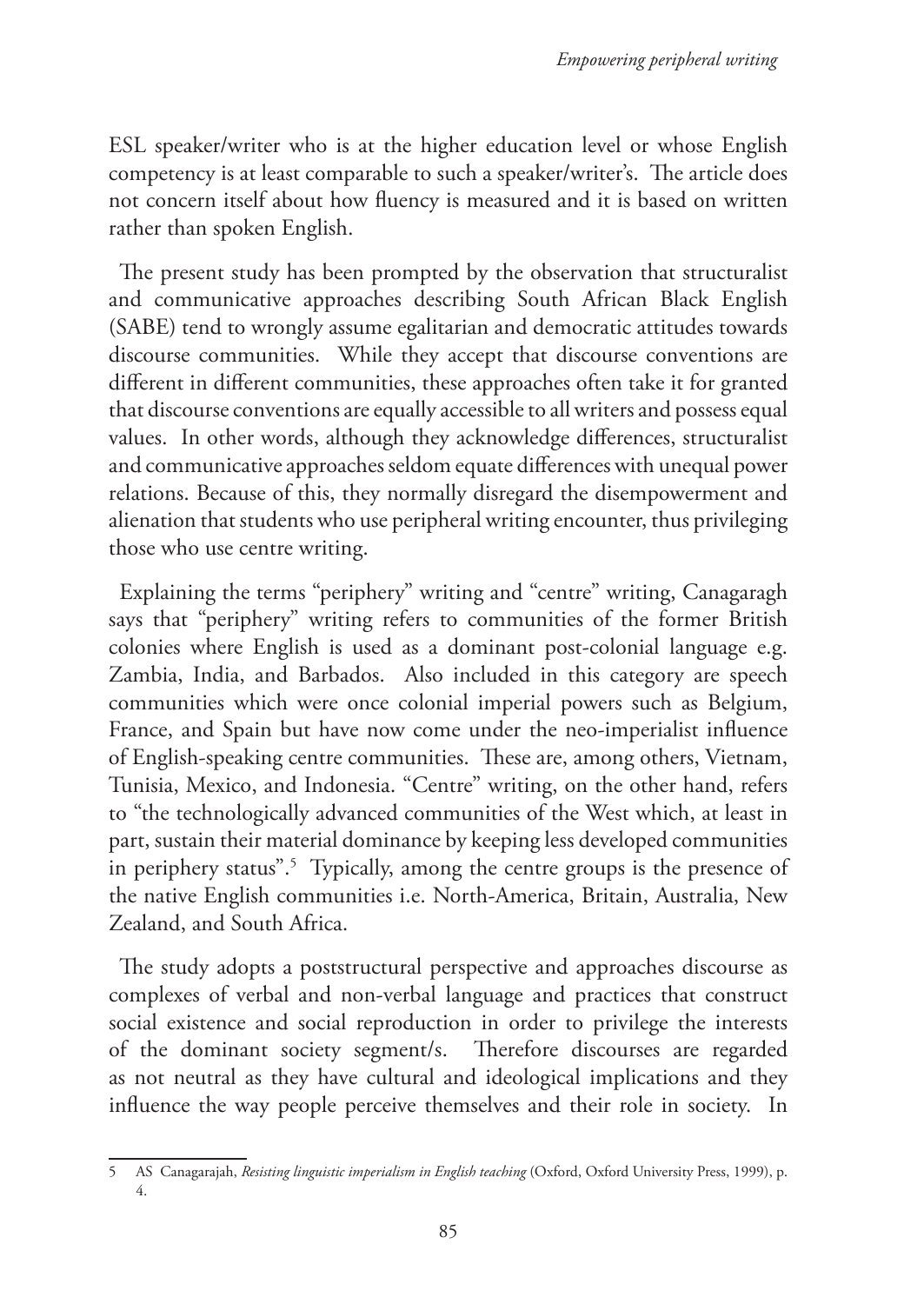ESL speaker/writer who is at the higher education level or whose English competency is at least comparable to such a speaker/writer's. The article does not concern itself about how fluency is measured and it is based on written rather than spoken English.

The present study has been prompted by the observation that structuralist and communicative approaches describing South African Black English (SABE) tend to wrongly assume egalitarian and democratic attitudes towards discourse communities. While they accept that discourse conventions are different in different communities, these approaches often take it for granted that discourse conventions are equally accessible to all writers and possess equal values. In other words, although they acknowledge differences, structuralist and communicative approaches seldom equate differences with unequal power relations. Because of this, they normally disregard the disempowerment and alienation that students who use peripheral writing encounter, thus privileging those who use centre writing.

Explaining the terms "periphery" writing and "centre" writing, Canagaragh says that "periphery" writing refers to communities of the former British colonies where English is used as a dominant post-colonial language e.g. Zambia, India, and Barbados. Also included in this category are speech communities which were once colonial imperial powers such as Belgium, France, and Spain but have now come under the neo-imperialist influence of English-speaking centre communities. These are, among others, Vietnam, Tunisia, Mexico, and Indonesia. "Centre" writing, on the other hand, refers to "the technologically advanced communities of the West which, at least in part, sustain their material dominance by keeping less developed communities in periphery status".<sup>5</sup> Typically, among the centre groups is the presence of the native English communities i.e. North-America, Britain, Australia, New Zealand, and South Africa.

The study adopts a poststructural perspective and approaches discourse as complexes of verbal and non-verbal language and practices that construct social existence and social reproduction in order to privilege the interests of the dominant society segment/s. Therefore discourses are regarded as not neutral as they have cultural and ideological implications and they influence the way people perceive themselves and their role in society. In

<sup>5</sup> AS Canagarajah, *Resisting linguistic imperialism in English teaching* (Oxford, Oxford University Press, 1999), p. 4.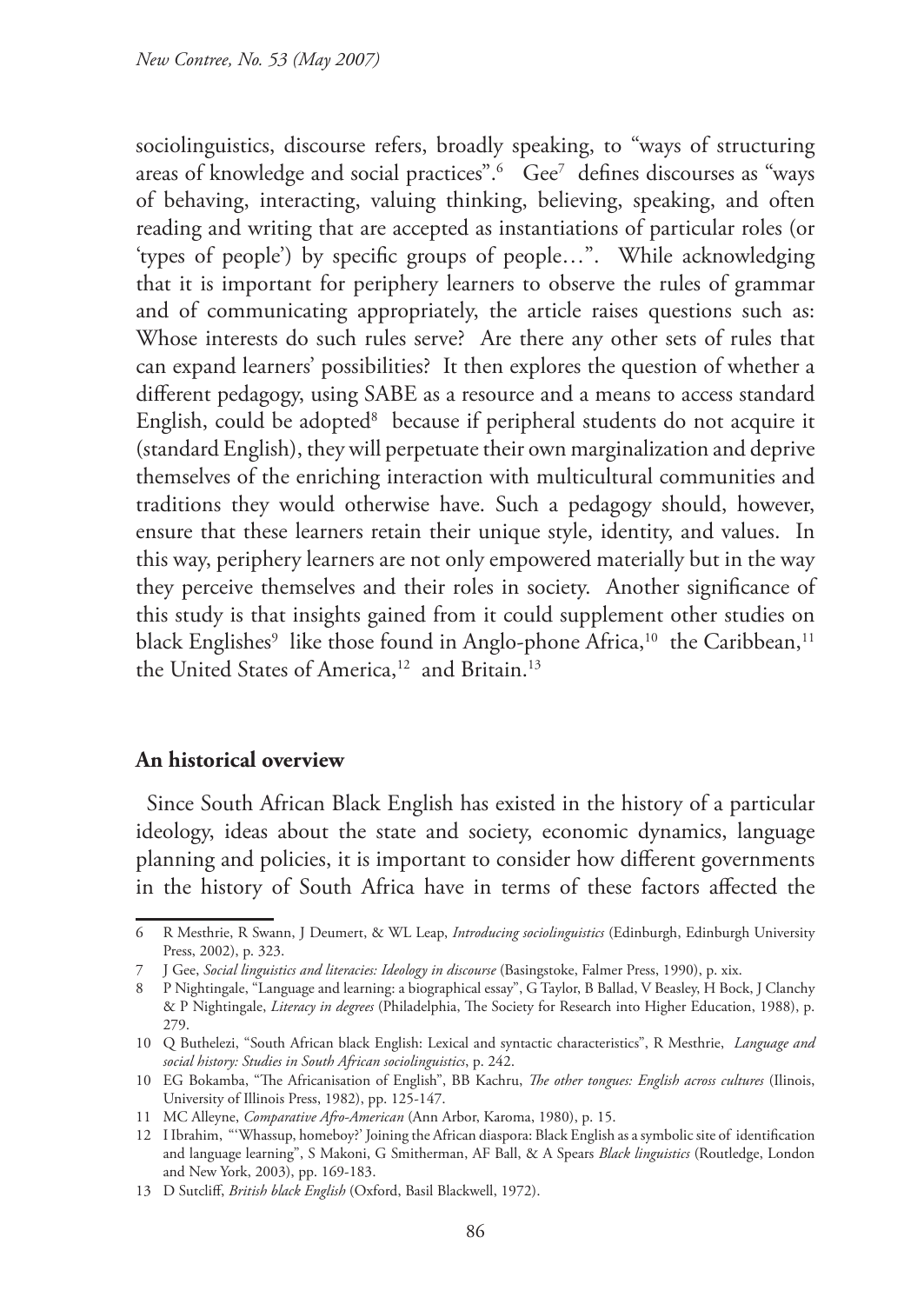sociolinguistics, discourse refers, broadly speaking, to "ways of structuring areas of knowledge and social practices".6 Gee7 defines discourses as "ways of behaving, interacting, valuing thinking, believing, speaking, and often reading and writing that are accepted as instantiations of particular roles (or 'types of people') by specific groups of people…". While acknowledging that it is important for periphery learners to observe the rules of grammar and of communicating appropriately, the article raises questions such as: Whose interests do such rules serve? Are there any other sets of rules that can expand learners' possibilities? It then explores the question of whether a different pedagogy, using SABE as a resource and a means to access standard English, could be adopted<sup>8</sup> because if peripheral students do not acquire it (standard English), they will perpetuate their own marginalization and deprive themselves of the enriching interaction with multicultural communities and traditions they would otherwise have. Such a pedagogy should, however, ensure that these learners retain their unique style, identity, and values. In this way, periphery learners are not only empowered materially but in the way they perceive themselves and their roles in society. Another significance of this study is that insights gained from it could supplement other studies on black Englishes $^{\circ}$  like those found in Anglo-phone Africa, $^{10}$  the Caribbean, $^{11}$ the United States of America,<sup>12</sup> and Britain.<sup>13</sup>

#### **An historical overview**

Since South African Black English has existed in the history of a particular ideology, ideas about the state and society, economic dynamics, language planning and policies, it is important to consider how different governments in the history of South Africa have in terms of these factors affected the

<sup>6</sup> R Mesthrie, R Swann, J Deumert, & WL Leap, *Introducing sociolinguistics* (Edinburgh, Edinburgh University Press, 2002), p. 323.

<sup>7</sup> J Gee, *Social linguistics and literacies: Ideology in discourse* (Basingstoke, Falmer Press, 1990), p. xix.

<sup>8</sup> P Nightingale, "Language and learning: a biographical essay", G Taylor, B Ballad, V Beasley, H Bock, J Clanchy & P Nightingale, *Literacy in degrees* (Philadelphia, The Society for Research into Higher Education, 1988), p. 279.

<sup>10</sup> Q Buthelezi, "South African black English: Lexical and syntactic characteristics", R Mesthrie, *Language and social history: Studies in South African sociolinguistics*, p. 242.

<sup>10</sup> EG Bokamba, "The Africanisation of English", BB Kachru, *The other tongues: English across cultures* (Ilinois, University of Illinois Press, 1982), pp. 125-147.

<sup>11</sup> MC Alleyne, *Comparative Afro-American* (Ann Arbor, Karoma, 1980), p. 15.

<sup>12</sup> I Ibrahim, "'Whassup, homeboy?' Joining the African diaspora: Black English as a symbolic site of identification and language learning", S Makoni, G Smitherman, AF Ball, & A Spears *Black linguistics* (Routledge, London and New York, 2003), pp. 169-183.

<sup>13</sup> D Sutcliff, *British black English* (Oxford, Basil Blackwell, 1972).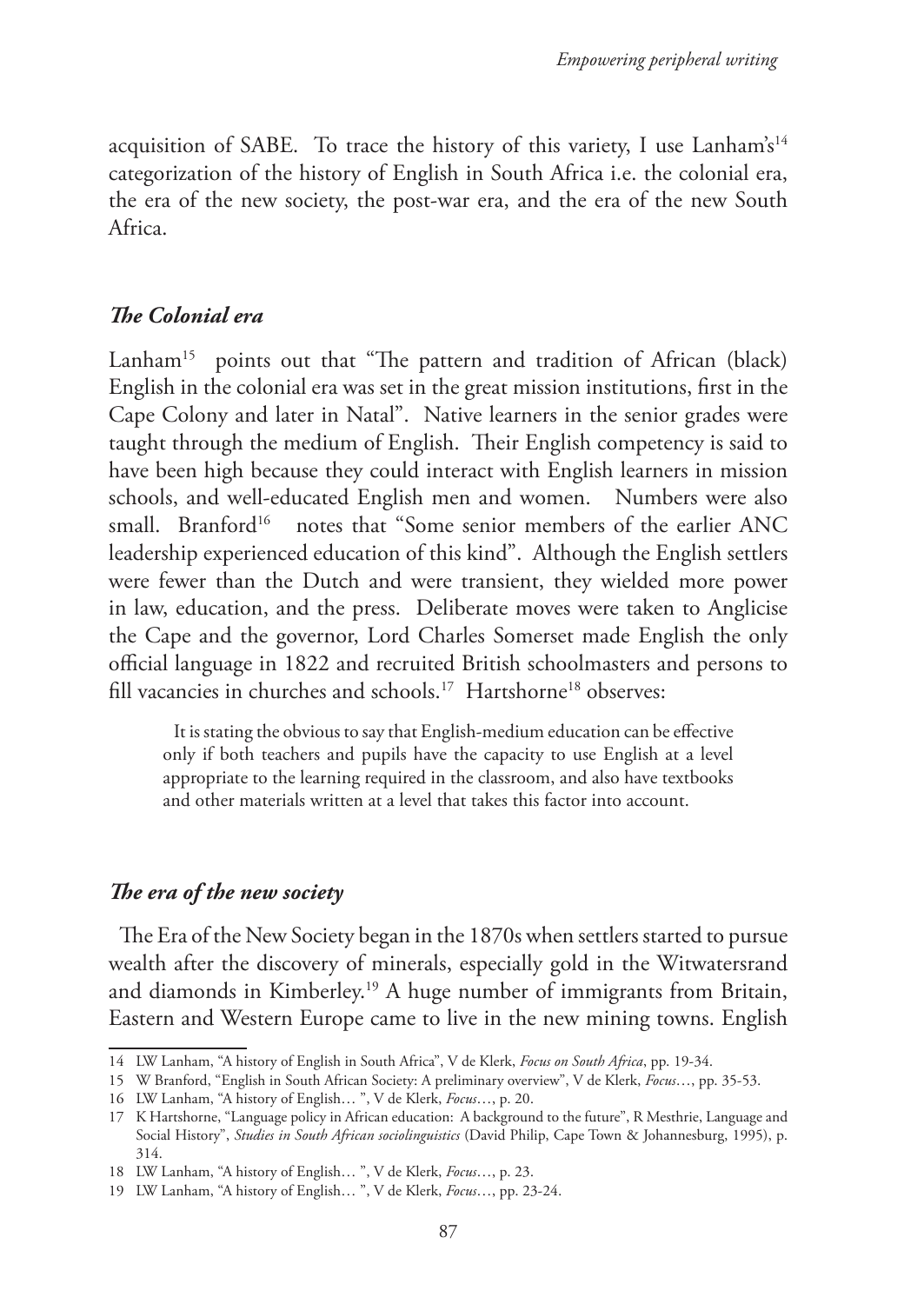acquisition of SABE. To trace the history of this variety, I use Lanham's<sup>14</sup> categorization of the history of English in South Africa i.e. the colonial era, the era of the new society, the post-war era, and the era of the new South Africa.

## *The Colonial era*

Lanham<sup>15</sup> points out that "The pattern and tradition of African (black) English in the colonial era was set in the great mission institutions, first in the Cape Colony and later in Natal". Native learners in the senior grades were taught through the medium of English. Their English competency is said to have been high because they could interact with English learners in mission schools, and well-educated English men and women. Numbers were also small. Branford<sup>16</sup> notes that "Some senior members of the earlier ANC leadership experienced education of this kind". Although the English settlers were fewer than the Dutch and were transient, they wielded more power in law, education, and the press. Deliberate moves were taken to Anglicise the Cape and the governor, Lord Charles Somerset made English the only official language in 1822 and recruited British schoolmasters and persons to fill vacancies in churches and schools.17 Hartshorne18 observes:

It is stating the obvious to say that English-medium education can be effective only if both teachers and pupils have the capacity to use English at a level appropriate to the learning required in the classroom, and also have textbooks and other materials written at a level that takes this factor into account.

## *The era of the new society*

The Era of the New Society began in the 1870s when settlers started to pursue wealth after the discovery of minerals, especially gold in the Witwatersrand and diamonds in Kimberley.19 A huge number of immigrants from Britain, Eastern and Western Europe came to live in the new mining towns. English

<sup>14</sup> LW Lanham, "A history of English in South Africa", V de Klerk, *Focus on South Africa*, pp. 19-34.

<sup>15</sup> W Branford, "English in South African Society: A preliminary overview", V de Klerk, *Focus*…, pp. 35-53.

<sup>16</sup> LW Lanham, "A history of English… ", V de Klerk, *Focus*…, p. 20.

<sup>17</sup> K Hartshorne, "Language policy in African education: A background to the future", R Mesthrie, Language and Social History", *Studies in South African sociolinguistics* (David Philip, Cape Town & Johannesburg, 1995), p. 314.

<sup>18</sup> LW Lanham, "A history of English… ", V de Klerk, *Focus*…, p. 23.

<sup>19</sup> LW Lanham, "A history of English… ", V de Klerk, *Focus*…, pp. 23-24.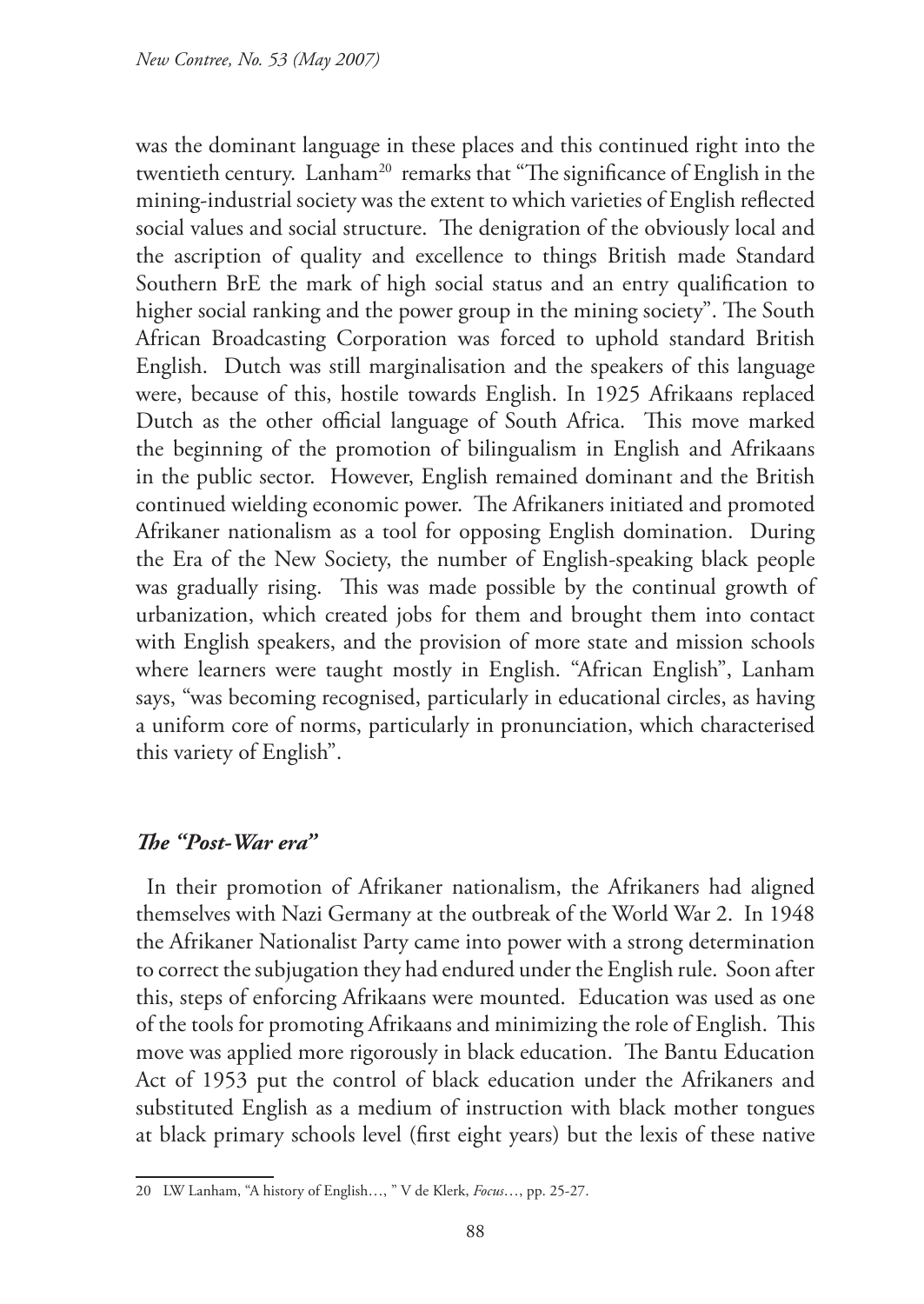was the dominant language in these places and this continued right into the twentieth century. Lanham<sup>20</sup> remarks that "The significance of English in the mining-industrial society was the extent to which varieties of English reflected social values and social structure. The denigration of the obviously local and the ascription of quality and excellence to things British made Standard Southern BrE the mark of high social status and an entry qualification to higher social ranking and the power group in the mining society". The South African Broadcasting Corporation was forced to uphold standard British English. Dutch was still marginalisation and the speakers of this language were, because of this, hostile towards English. In 1925 Afrikaans replaced Dutch as the other official language of South Africa. This move marked the beginning of the promotion of bilingualism in English and Afrikaans in the public sector. However, English remained dominant and the British continued wielding economic power. The Afrikaners initiated and promoted Afrikaner nationalism as a tool for opposing English domination. During the Era of the New Society, the number of English-speaking black people was gradually rising. This was made possible by the continual growth of urbanization, which created jobs for them and brought them into contact with English speakers, and the provision of more state and mission schools where learners were taught mostly in English. "African English", Lanham says, "was becoming recognised, particularly in educational circles, as having a uniform core of norms, particularly in pronunciation, which characterised this variety of English".

## *The "Post-War era"*

In their promotion of Afrikaner nationalism, the Afrikaners had aligned themselves with Nazi Germany at the outbreak of the World War 2. In 1948 the Afrikaner Nationalist Party came into power with a strong determination to correct the subjugation they had endured under the English rule. Soon after this, steps of enforcing Afrikaans were mounted. Education was used as one of the tools for promoting Afrikaans and minimizing the role of English. This move was applied more rigorously in black education. The Bantu Education Act of 1953 put the control of black education under the Afrikaners and substituted English as a medium of instruction with black mother tongues at black primary schools level (first eight years) but the lexis of these native

<sup>20</sup> LW Lanham, "A history of English…, " V de Klerk, *Focus*…, pp. 25-27.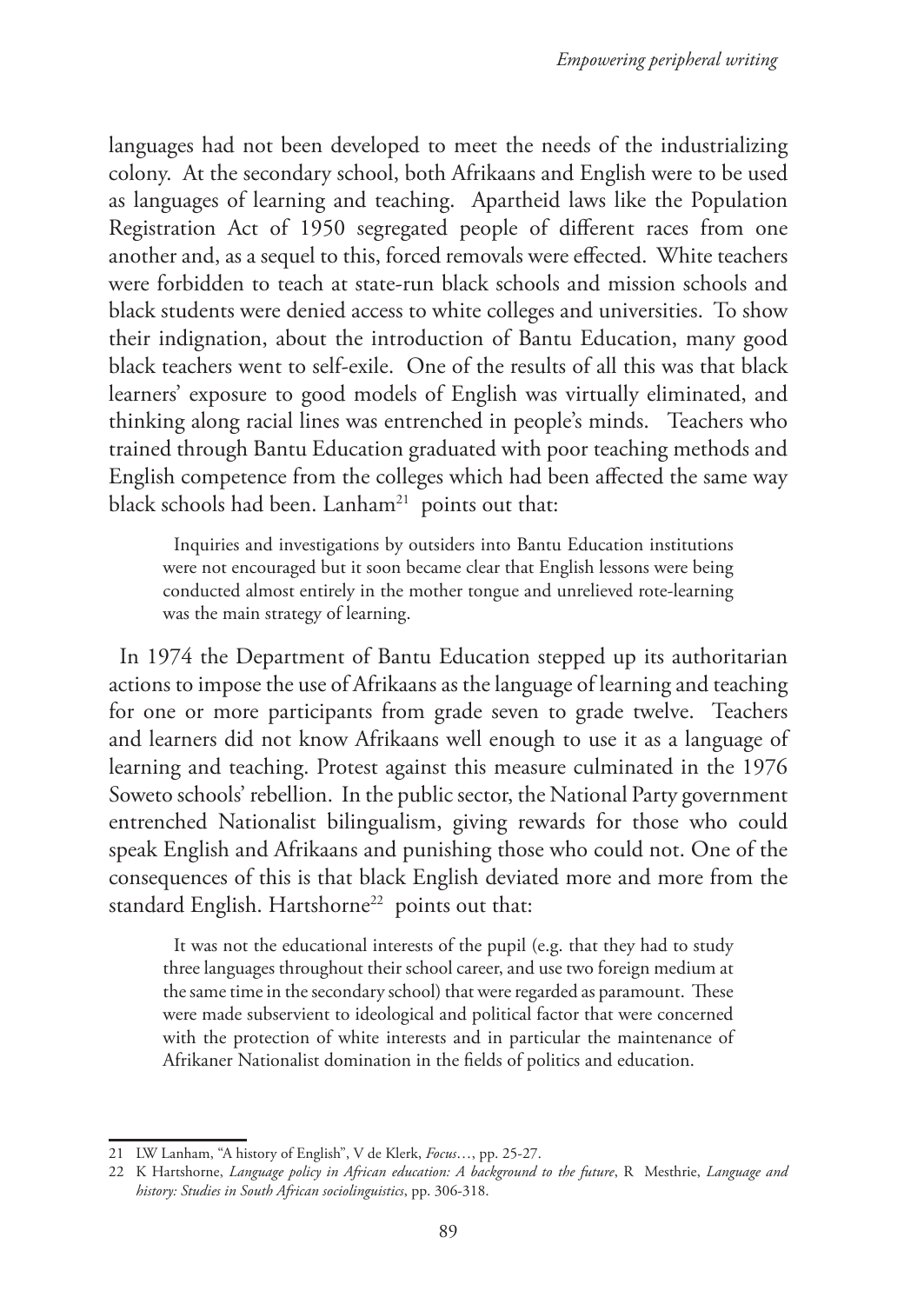languages had not been developed to meet the needs of the industrializing colony. At the secondary school, both Afrikaans and English were to be used as languages of learning and teaching. Apartheid laws like the Population Registration Act of 1950 segregated people of different races from one another and, as a sequel to this, forced removals were effected. White teachers were forbidden to teach at state-run black schools and mission schools and black students were denied access to white colleges and universities. To show their indignation, about the introduction of Bantu Education, many good black teachers went to self-exile. One of the results of all this was that black learners' exposure to good models of English was virtually eliminated, and thinking along racial lines was entrenched in people's minds. Teachers who trained through Bantu Education graduated with poor teaching methods and English competence from the colleges which had been affected the same way black schools had been. Lanham<sup>21</sup> points out that:

Inquiries and investigations by outsiders into Bantu Education institutions were not encouraged but it soon became clear that English lessons were being conducted almost entirely in the mother tongue and unrelieved rote-learning was the main strategy of learning.

In 1974 the Department of Bantu Education stepped up its authoritarian actions to impose the use of Afrikaans as the language of learning and teaching for one or more participants from grade seven to grade twelve. Teachers and learners did not know Afrikaans well enough to use it as a language of learning and teaching. Protest against this measure culminated in the 1976 Soweto schools' rebellion. In the public sector, the National Party government entrenched Nationalist bilingualism, giving rewards for those who could speak English and Afrikaans and punishing those who could not. One of the consequences of this is that black English deviated more and more from the standard English. Hartshorne<sup>22</sup> points out that:

It was not the educational interests of the pupil (e.g. that they had to study three languages throughout their school career, and use two foreign medium at the same time in the secondary school) that were regarded as paramount. These were made subservient to ideological and political factor that were concerned with the protection of white interests and in particular the maintenance of Afrikaner Nationalist domination in the fields of politics and education.

<sup>21</sup> LW Lanham, "A history of English", V de Klerk, *Focus*…, pp. 25-27.

<sup>22</sup> K Hartshorne, *Language policy in African education: A background to the future*, R Mesthrie, *Language and history: Studies in South African sociolinguistics*, pp. 306-318.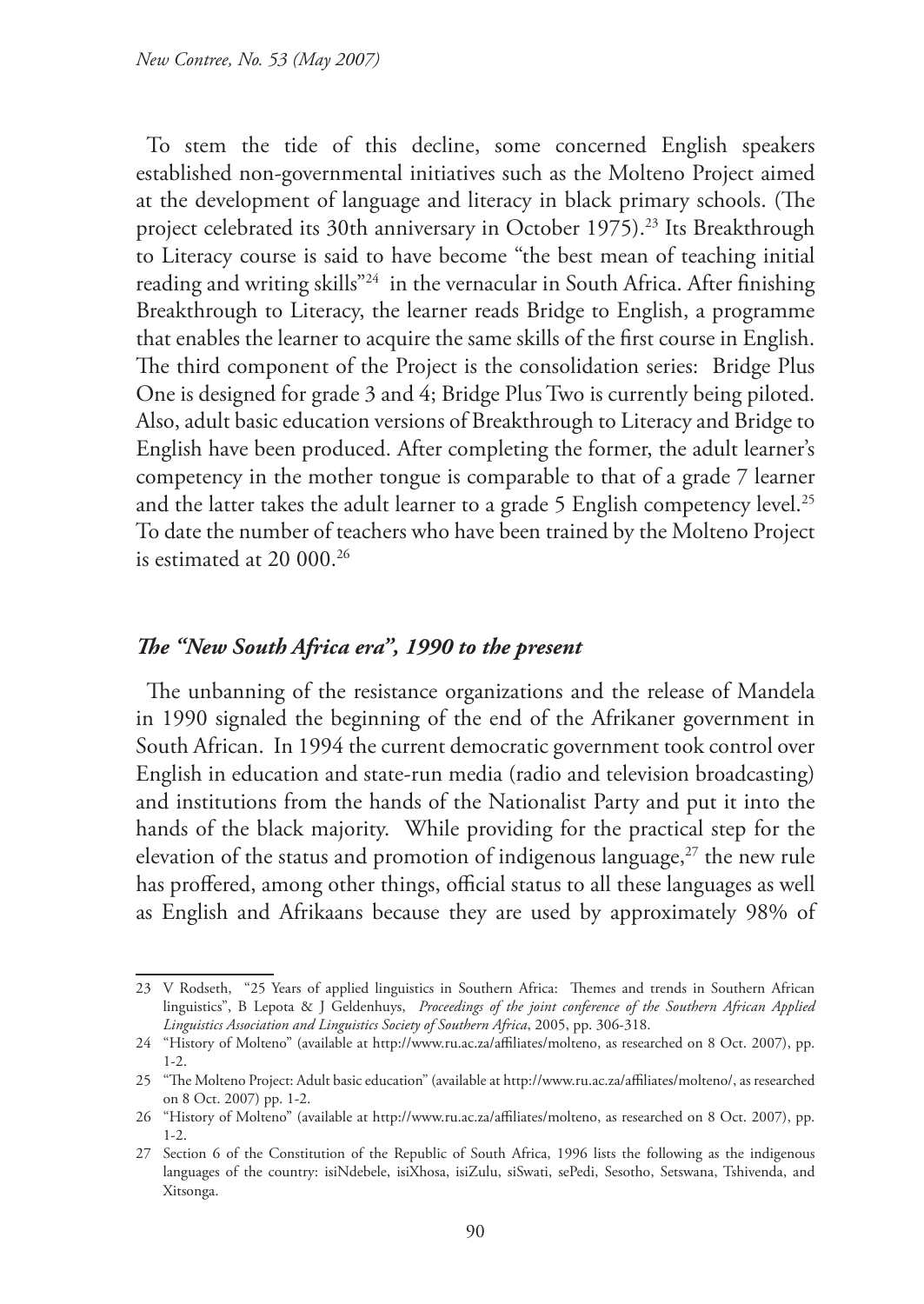To stem the tide of this decline, some concerned English speakers established non-governmental initiatives such as the Molteno Project aimed at the development of language and literacy in black primary schools. (The project celebrated its 30th anniversary in October 1975).<sup>23</sup> Its Breakthrough to Literacy course is said to have become "the best mean of teaching initial reading and writing skills"24 in the vernacular in South Africa. After finishing Breakthrough to Literacy, the learner reads Bridge to English, a programme that enables the learner to acquire the same skills of the first course in English. The third component of the Project is the consolidation series: Bridge Plus One is designed for grade 3 and 4; Bridge Plus Two is currently being piloted. Also, adult basic education versions of Breakthrough to Literacy and Bridge to English have been produced. After completing the former, the adult learner's competency in the mother tongue is comparable to that of a grade 7 learner and the latter takes the adult learner to a grade 5 English competency level.<sup>25</sup> To date the number of teachers who have been trained by the Molteno Project is estimated at 20 000.26

#### *The "New South Africa era", 1990 to the present*

The unbanning of the resistance organizations and the release of Mandela in 1990 signaled the beginning of the end of the Afrikaner government in South African. In 1994 the current democratic government took control over English in education and state-run media (radio and television broadcasting) and institutions from the hands of the Nationalist Party and put it into the hands of the black majority. While providing for the practical step for the elevation of the status and promotion of indigenous language,<sup>27</sup> the new rule has proffered, among other things, official status to all these languages as well as English and Afrikaans because they are used by approximately 98% of

<sup>23</sup> V Rodseth, "25 Years of applied linguistics in Southern Africa: Themes and trends in Southern African linguistics", B Lepota & J Geldenhuys, *Proceedings of the joint conference of the Southern African Applied Linguistics Association and Linguistics Society of Southern Africa*, 2005, pp. 306-318.

<sup>24</sup> "History of Molteno" (available at http://www.ru.ac.za/affiliates/molteno, as researched on 8 Oct. 2007), pp. 1-2.

<sup>25</sup> "The Molteno Project: Adult basic education" (available at http://www.ru.ac.za/affiliates/molteno/, as researched on 8 Oct. 2007) pp. 1-2.

<sup>26</sup> "History of Molteno" (available at http://www.ru.ac.za/affiliates/molteno, as researched on 8 Oct. 2007), pp. 1-2.

<sup>27</sup> Section 6 of the Constitution of the Republic of South Africa, 1996 lists the following as the indigenous languages of the country: isiNdebele, isiXhosa, isiZulu, siSwati, sePedi, Sesotho, Setswana, Tshivenda, and Xitsonga.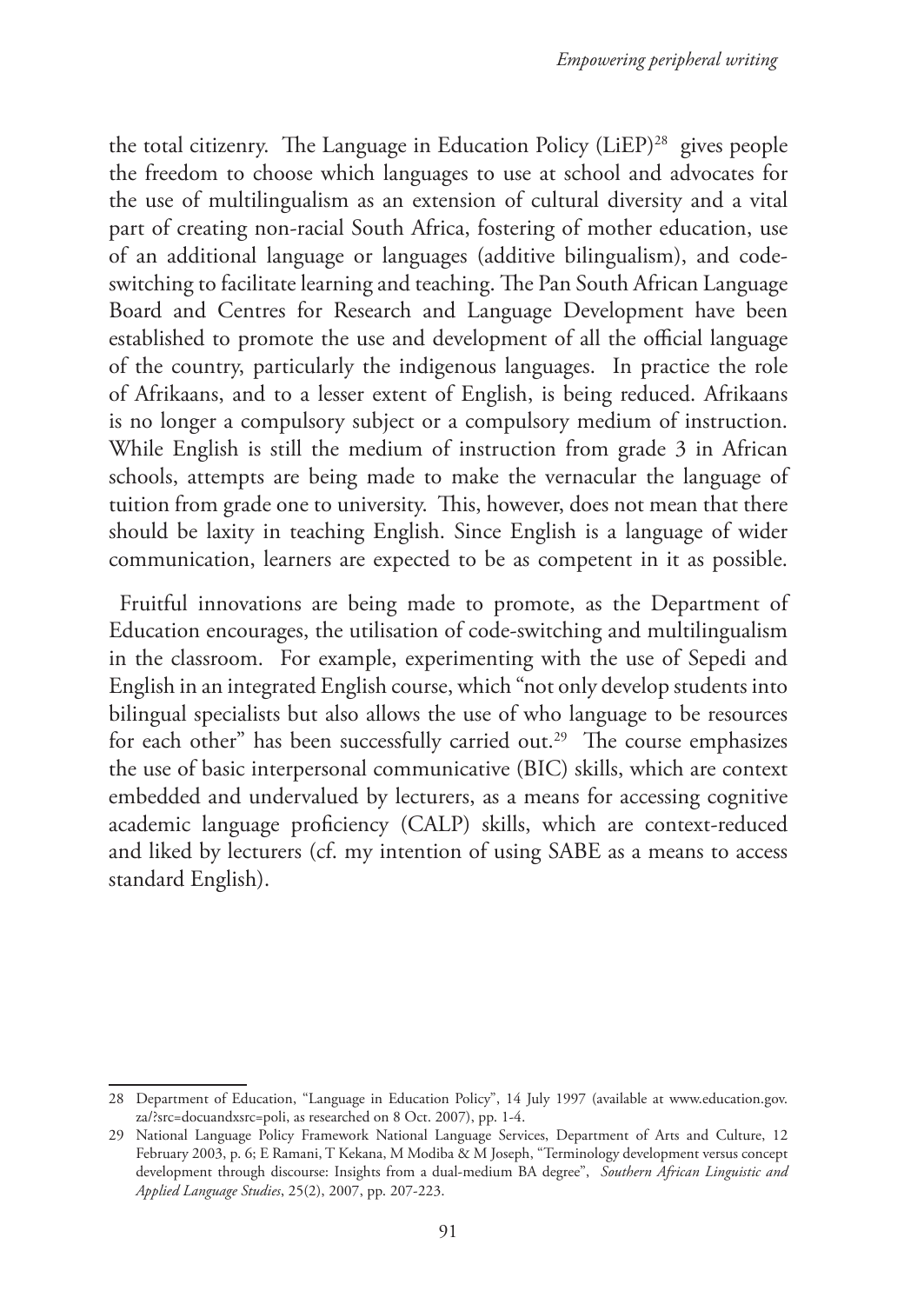the total citizenry. The Language in Education Policy (LiEP)<sup>28</sup> gives people the freedom to choose which languages to use at school and advocates for the use of multilingualism as an extension of cultural diversity and a vital part of creating non-racial South Africa, fostering of mother education, use of an additional language or languages (additive bilingualism), and codeswitching to facilitate learning and teaching. The Pan South African Language Board and Centres for Research and Language Development have been established to promote the use and development of all the official language of the country, particularly the indigenous languages. In practice the role of Afrikaans, and to a lesser extent of English, is being reduced. Afrikaans is no longer a compulsory subject or a compulsory medium of instruction. While English is still the medium of instruction from grade 3 in African schools, attempts are being made to make the vernacular the language of tuition from grade one to university. This, however, does not mean that there should be laxity in teaching English. Since English is a language of wider communication, learners are expected to be as competent in it as possible.

Fruitful innovations are being made to promote, as the Department of Education encourages, the utilisation of code-switching and multilingualism in the classroom. For example, experimenting with the use of Sepedi and English in an integrated English course, which "not only develop students into bilingual specialists but also allows the use of who language to be resources for each other" has been successfully carried out.<sup>29</sup> The course emphasizes the use of basic interpersonal communicative (BIC) skills, which are context embedded and undervalued by lecturers, as a means for accessing cognitive academic language proficiency (CALP) skills, which are context-reduced and liked by lecturers (cf. my intention of using SABE as a means to access standard English).

<sup>28</sup> Department of Education, "Language in Education Policy", 14 July 1997 (available at www.education.gov. za/?src=docuandxsrc=poli, as researched on 8 Oct. 2007), pp. 1-4.

<sup>29</sup> National Language Policy Framework National Language Services, Department of Arts and Culture, 12 February 2003, p. 6; E Ramani, T Kekana, M Modiba & M Joseph, "Terminology development versus concept development through discourse: Insights from a dual-medium BA degree", *Southern African Linguistic and Applied Language Studies*, 25(2), 2007, pp. 207-223.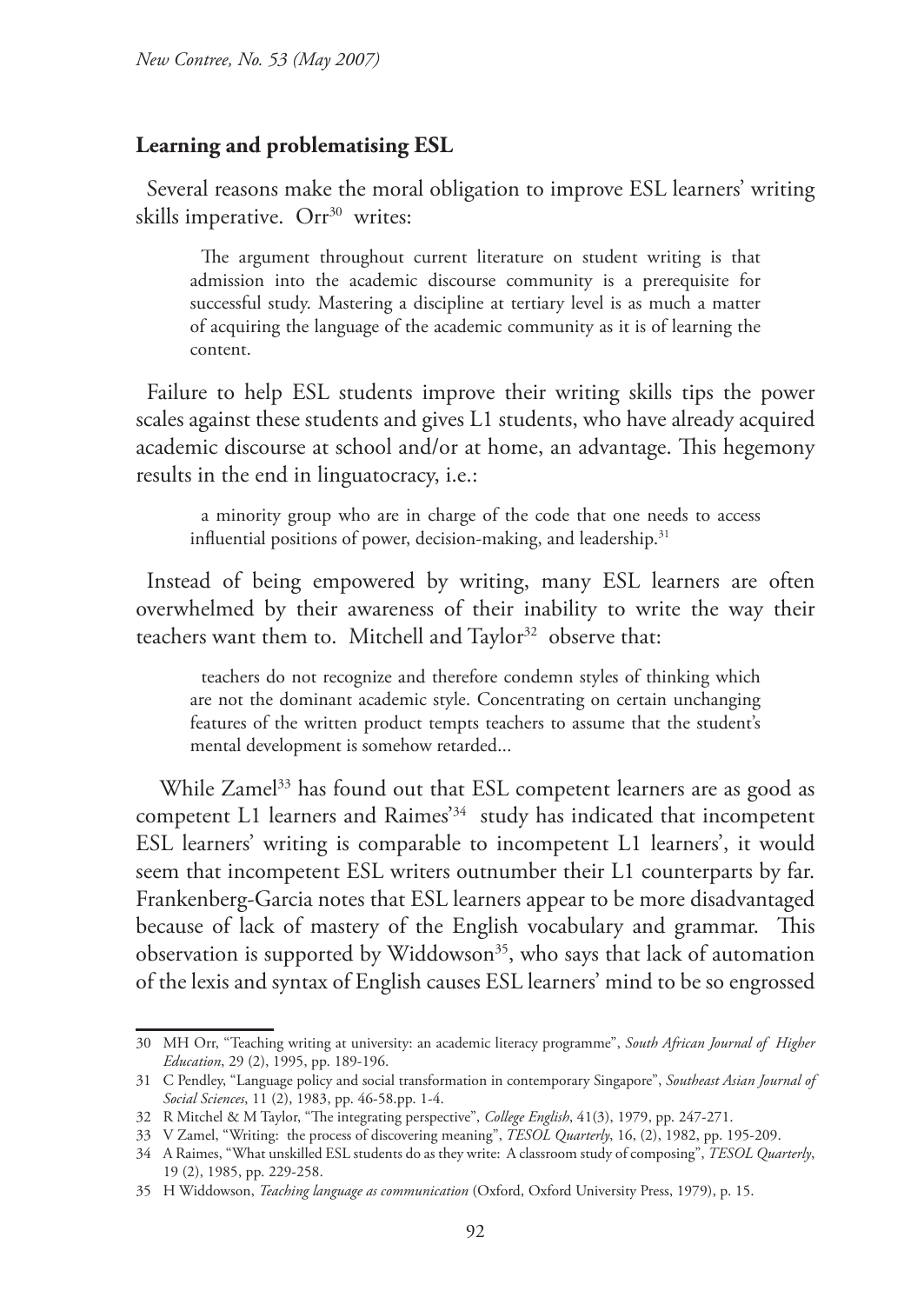#### **Learning and problematising ESL**

Several reasons make the moral obligation to improve ESL learners' writing skills imperative. Orr<sup>30</sup> writes:

The argument throughout current literature on student writing is that admission into the academic discourse community is a prerequisite for successful study. Mastering a discipline at tertiary level is as much a matter of acquiring the language of the academic community as it is of learning the content.

Failure to help ESL students improve their writing skills tips the power scales against these students and gives L1 students, who have already acquired academic discourse at school and/or at home, an advantage. This hegemony results in the end in linguatocracy, i.e.:

a minority group who are in charge of the code that one needs to access influential positions of power, decision-making, and leadership.<sup>31</sup>

Instead of being empowered by writing, many ESL learners are often overwhelmed by their awareness of their inability to write the way their teachers want them to. Mitchell and Taylor<sup>32</sup> observe that:

teachers do not recognize and therefore condemn styles of thinking which are not the dominant academic style. Concentrating on certain unchanging features of the written product tempts teachers to assume that the student's mental development is somehow retarded...

While Zamel<sup>33</sup> has found out that ESL competent learners are as good as competent L1 learners and Raimes'34 study has indicated that incompetent ESL learners' writing is comparable to incompetent L1 learners', it would seem that incompetent ESL writers outnumber their L1 counterparts by far. Frankenberg-Garcia notes that ESL learners appear to be more disadvantaged because of lack of mastery of the English vocabulary and grammar. This observation is supported by Widdowson<sup>35</sup>, who says that lack of automation of the lexis and syntax of English causes ESL learners' mind to be so engrossed

<sup>30</sup> MH Orr, "Teaching writing at university: an academic literacy programme", *South African Journal of Higher Education*, 29 (2), 1995, pp. 189-196.

<sup>31</sup> C Pendley, "Language policy and social transformation in contemporary Singapore", *Southeast Asian Journal of Social Sciences*, 11 (2), 1983, pp. 46-58.pp. 1-4.

<sup>32</sup> R Mitchel & M Taylor, "The integrating perspective", *College English*, 41(3), 1979, pp. 247-271.

<sup>33</sup> V Zamel, "Writing: the process of discovering meaning", *TESOL Quarterly*, 16, (2), 1982, pp. 195-209.

<sup>34</sup> A Raimes, "What unskilled ESL students do as they write: A classroom study of composing", *TESOL Quarterly*, 19 (2), 1985, pp. 229-258.

<sup>35</sup> H Widdowson, *Teaching language as communication* (Oxford, Oxford University Press, 1979), p. 15.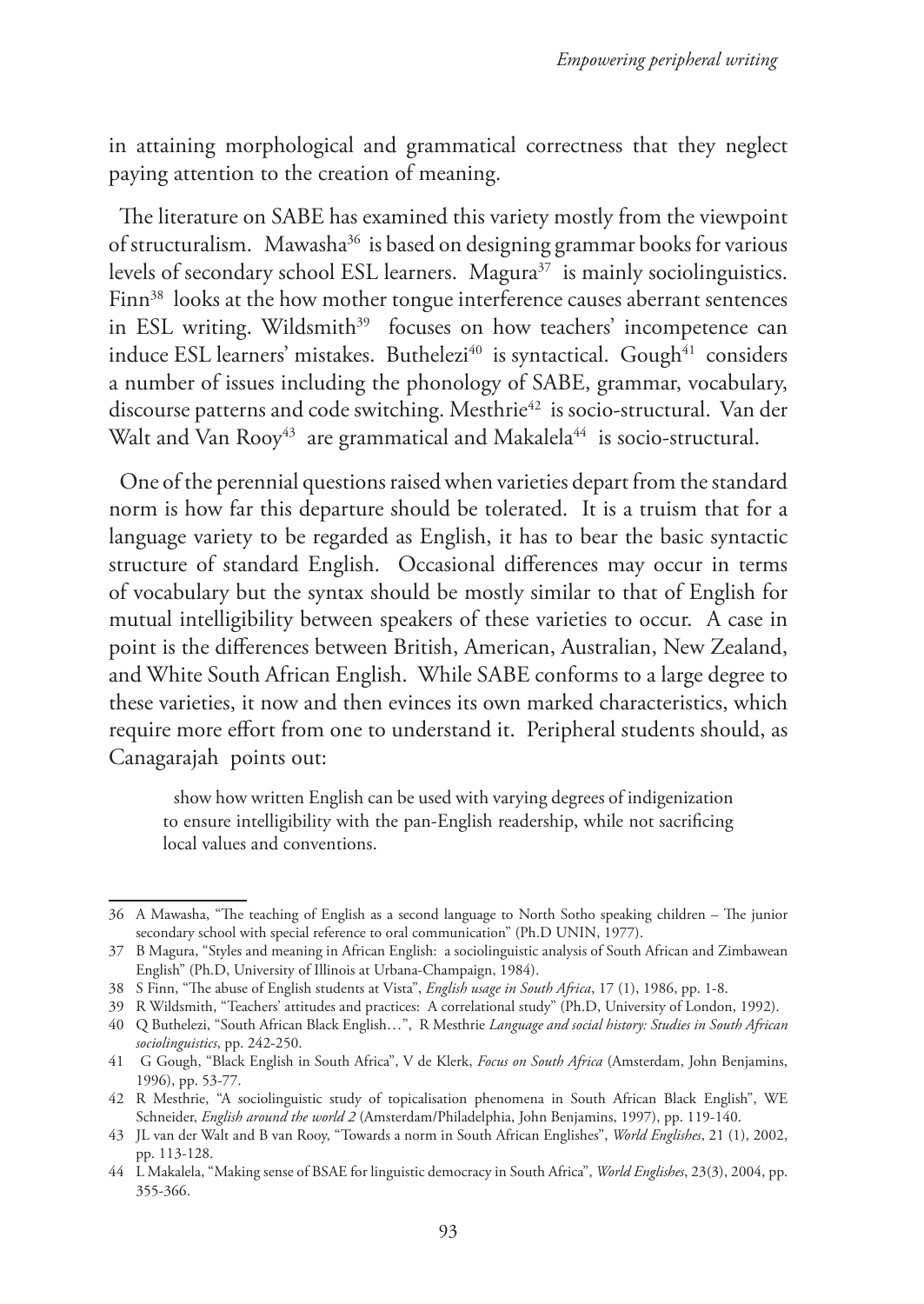in attaining morphological and grammatical correctness that they neglect paying attention to the creation of meaning.

The literature on SABE has examined this variety mostly from the viewpoint of structuralism. Mawasha36 is based on designing grammar books for various levels of secondary school ESL learners. Magura<sup>37</sup> is mainly sociolinguistics. Finn<sup>38</sup> looks at the how mother tongue interference causes aberrant sentences in ESL writing. Wildsmith<sup>39</sup> focuses on how teachers' incompetence can induce ESL learners' mistakes. Buthelezi<sup>40</sup> is syntactical. Gough<sup>41</sup> considers a number of issues including the phonology of SABE, grammar, vocabulary, discourse patterns and code switching. Mesthrie<sup>42</sup> is socio-structural. Van der Walt and Van Rooy<sup>43</sup> are grammatical and Makalela<sup>44</sup> is socio-structural.

One of the perennial questions raised when varieties depart from the standard norm is how far this departure should be tolerated. It is a truism that for a language variety to be regarded as English, it has to bear the basic syntactic structure of standard English. Occasional differences may occur in terms of vocabulary but the syntax should be mostly similar to that of English for mutual intelligibility between speakers of these varieties to occur. A case in point is the differences between British, American, Australian, New Zealand, and White South African English. While SABE conforms to a large degree to these varieties, it now and then evinces its own marked characteristics, which require more effort from one to understand it. Peripheral students should, as Canagarajah points out:

show how written English can be used with varying degrees of indigenization to ensure intelligibility with the pan-English readership, while not sacrificing local values and conventions.

<sup>36</sup> A Mawasha, "The teaching of English as a second language to North Sotho speaking children – The junior secondary school with special reference to oral communication" (Ph.D UNIN, 1977).

<sup>37</sup> B Magura, "Styles and meaning in African English: a sociolinguistic analysis of South African and Zimbawean English" (Ph.D, University of Illinois at Urbana-Champaign, 1984).

<sup>38</sup> S Finn, "The abuse of English students at Vista", *English usage in South Africa*, 17 (1), 1986, pp. 1-8.

<sup>39</sup> R Wildsmith, "Teachers' attitudes and practices: A correlational study" (Ph.D, University of London, 1992).

<sup>40</sup> Q Buthelezi, "South African Black English…", R Mesthrie *Language and social history: Studies in South African sociolinguistics*, pp. 242-250.

<sup>41</sup> G Gough, "Black English in South Africa", V de Klerk, *Focus on South Africa* (Amsterdam, John Benjamins, 1996), pp. 53-77.

<sup>42</sup> R Mesthrie, "A sociolinguistic study of topicalisation phenomena in South African Black English", WE Schneider, *English around the world 2* (Amsterdam/Philadelphia, John Benjamins, 1997), pp. 119-140.

<sup>43</sup> JL van der Walt and B van Rooy, "Towards a norm in South African Englishes", *World Englishes*, 21 (1), 2002, pp. 113-128.

<sup>44</sup> L Makalela, "Making sense of BSAE for linguistic democracy in South Africa", *World Englishes*, 23(3), 2004, pp. 355-366.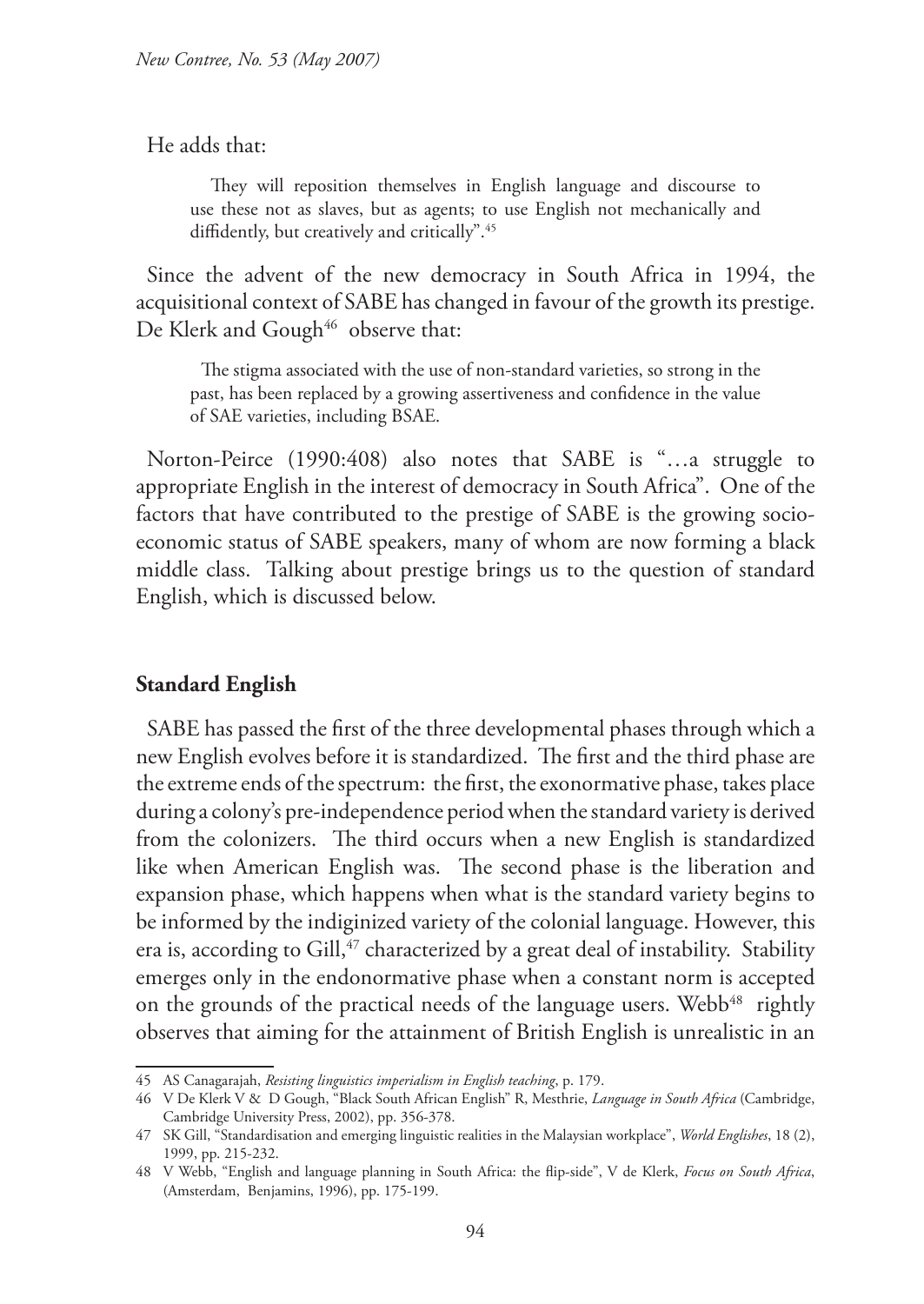He adds that:

 They will reposition themselves in English language and discourse to use these not as slaves, but as agents; to use English not mechanically and diffidently, but creatively and critically".45

Since the advent of the new democracy in South Africa in 1994, the acquisitional context of SABE has changed in favour of the growth its prestige. De Klerk and Gough<sup>46</sup> observe that:

The stigma associated with the use of non-standard varieties, so strong in the past, has been replaced by a growing assertiveness and confidence in the value of SAE varieties, including BSAE.

Norton-Peirce (1990:408) also notes that SABE is "…a struggle to appropriate English in the interest of democracy in South Africa". One of the factors that have contributed to the prestige of SABE is the growing socioeconomic status of SABE speakers, many of whom are now forming a black middle class. Talking about prestige brings us to the question of standard English, which is discussed below.

## **Standard English**

SABE has passed the first of the three developmental phases through which a new English evolves before it is standardized. The first and the third phase are the extreme ends of the spectrum: the first, the exonormative phase, takes place during a colony's pre-independence period when the standard variety is derived from the colonizers. The third occurs when a new English is standardized like when American English was. The second phase is the liberation and expansion phase, which happens when what is the standard variety begins to be informed by the indiginized variety of the colonial language. However, this era is, according to Gill, $47$  characterized by a great deal of instability. Stability emerges only in the endonormative phase when a constant norm is accepted on the grounds of the practical needs of the language users. Webb<sup>48</sup> rightly observes that aiming for the attainment of British English is unrealistic in an

<sup>45</sup> AS Canagarajah, *Resisting linguistics imperialism in English teaching*, p. 179.

<sup>46</sup> V De Klerk V & D Gough, "Black South African English" R, Mesthrie, *Language in South Africa* (Cambridge, Cambridge University Press, 2002), pp. 356-378.

<sup>47</sup> SK Gill, "Standardisation and emerging linguistic realities in the Malaysian workplace", *World Englishes*, 18 (2), 1999, pp. 215-232.

<sup>48</sup> V Webb, "English and language planning in South Africa: the flip-side", V de Klerk, *Focus on South Africa*, (Amsterdam, Benjamins, 1996), pp. 175-199.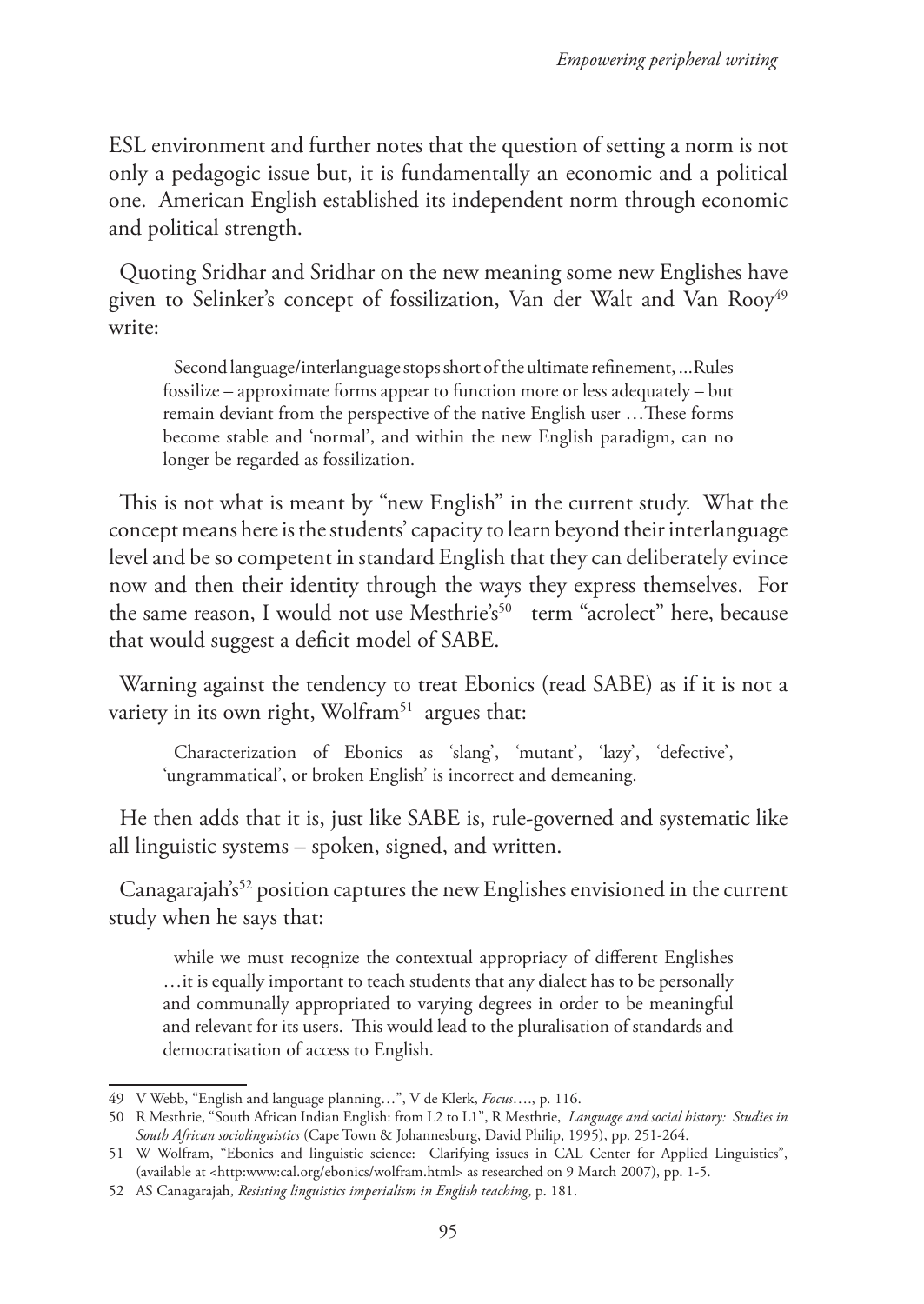ESL environment and further notes that the question of setting a norm is not only a pedagogic issue but, it is fundamentally an economic and a political one. American English established its independent norm through economic and political strength.

Quoting Sridhar and Sridhar on the new meaning some new Englishes have given to Selinker's concept of fossilization, Van der Walt and Van Rooy<sup>49</sup> write:

Second language/interlanguage stops short of the ultimate refinement, ...Rules fossilize – approximate forms appear to function more or less adequately – but remain deviant from the perspective of the native English user …These forms become stable and 'normal', and within the new English paradigm, can no longer be regarded as fossilization.

This is not what is meant by "new English" in the current study. What the concept means here is the students' capacity to learn beyond their interlanguage level and be so competent in standard English that they can deliberately evince now and then their identity through the ways they express themselves. For the same reason, I would not use Mesthrie's<sup>50</sup> term "acrolect" here, because that would suggest a deficit model of SABE.

Warning against the tendency to treat Ebonics (read SABE) as if it is not a variety in its own right, Wolfram<sup>51</sup> argues that:

Characterization of Ebonics as 'slang', 'mutant', 'lazy', 'defective', 'ungrammatical', or broken English' is incorrect and demeaning.

He then adds that it is, just like SABE is, rule-governed and systematic like all linguistic systems – spoken, signed, and written.

Canagarajah's<sup>52</sup> position captures the new Englishes envisioned in the current study when he says that:

while we must recognize the contextual appropriacy of different Englishes …it is equally important to teach students that any dialect has to be personally and communally appropriated to varying degrees in order to be meaningful and relevant for its users. This would lead to the pluralisation of standards and democratisation of access to English.

<sup>49</sup> V Webb, "English and language planning…", V de Klerk, *Focus*…., p. 116.

<sup>50</sup> R Mesthrie, "South African Indian English: from L2 to L1", R Mesthrie, *Language and social history: Studies in South African sociolinguistics* (Cape Town & Johannesburg, David Philip, 1995), pp. 251-264.

<sup>51</sup> W Wolfram, "Ebonics and linguistic science: Clarifying issues in CAL Center for Applied Linguistics", (available at <http:www:cal.org/ebonics/wolfram.html> as researched on 9 March 2007), pp. 1-5.

<sup>52</sup> AS Canagarajah, *Resisting linguistics imperialism in English teaching*, p. 181.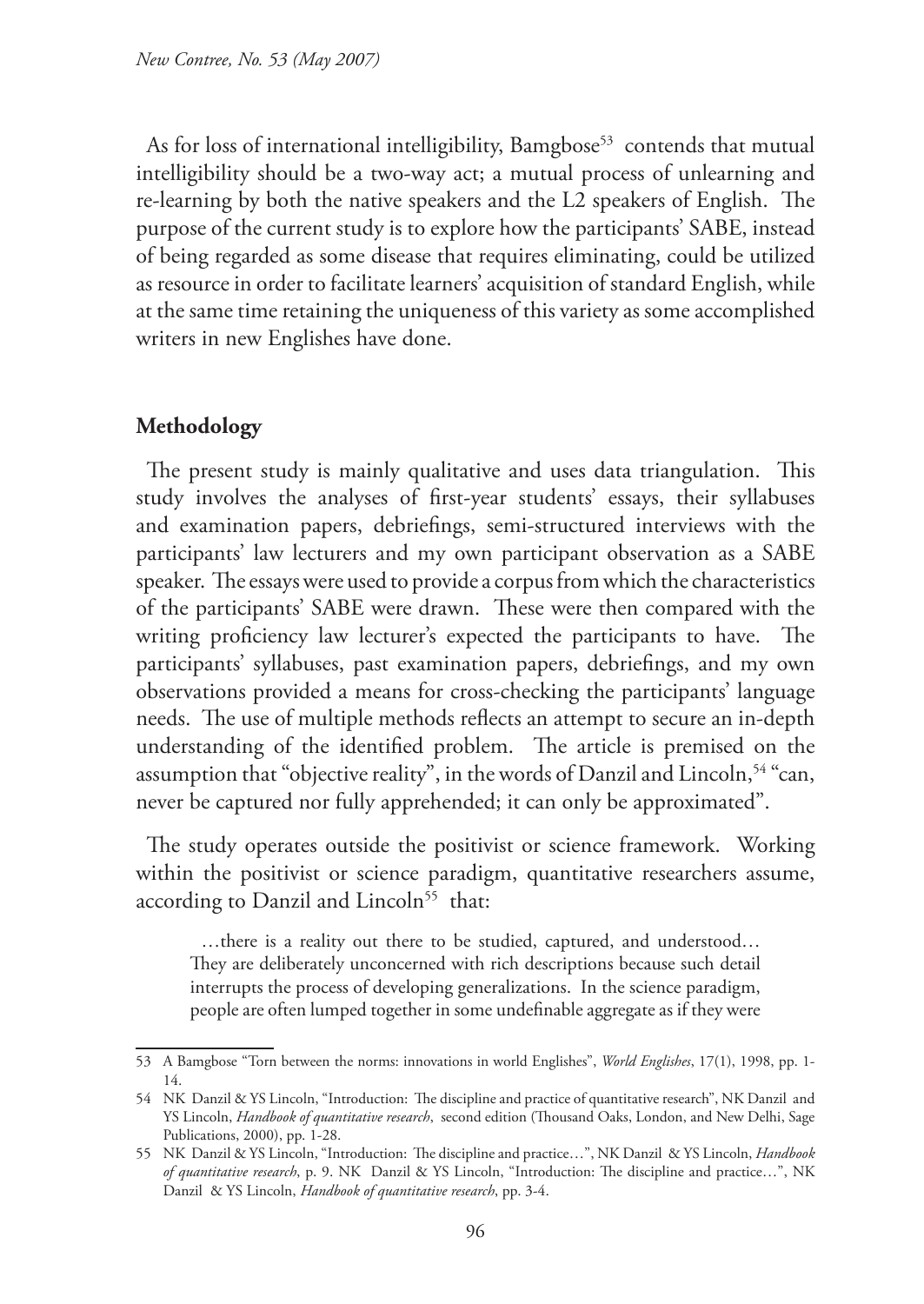As for loss of international intelligibility, Bamgbose<sup>53</sup> contends that mutual intelligibility should be a two-way act; a mutual process of unlearning and re-learning by both the native speakers and the L2 speakers of English. The purpose of the current study is to explore how the participants' SABE, instead of being regarded as some disease that requires eliminating, could be utilized as resource in order to facilitate learners' acquisition of standard English, while at the same time retaining the uniqueness of this variety as some accomplished writers in new Englishes have done.

## **Methodology**

The present study is mainly qualitative and uses data triangulation. This study involves the analyses of first-year students' essays, their syllabuses and examination papers, debriefings, semi-structured interviews with the participants' law lecturers and my own participant observation as a SABE speaker. The essays were used to provide a corpus from which the characteristics of the participants' SABE were drawn. These were then compared with the writing proficiency law lecturer's expected the participants to have. The participants' syllabuses, past examination papers, debriefings, and my own observations provided a means for cross-checking the participants' language needs. The use of multiple methods reflects an attempt to secure an in-depth understanding of the identified problem. The article is premised on the assumption that "objective reality", in the words of Danzil and Lincoln, <sup>54</sup> "can, never be captured nor fully apprehended; it can only be approximated".

The study operates outside the positivist or science framework. Working within the positivist or science paradigm, quantitative researchers assume, according to Danzil and Lincoln<sup>55</sup> that:

…there is a reality out there to be studied, captured, and understood… They are deliberately unconcerned with rich descriptions because such detail interrupts the process of developing generalizations. In the science paradigm, people are often lumped together in some undefinable aggregate as if they were

<sup>53</sup> A Bamgbose "Torn between the norms: innovations in world Englishes", *World Englishes*, 17(1), 1998, pp. 1- 14.

<sup>54</sup> NK Danzil & YS Lincoln, "Introduction: The discipline and practice of quantitative research", NK Danzil and YS Lincoln, *Handbook of quantitative research*, second edition (Thousand Oaks, London, and New Delhi, Sage Publications, 2000), pp. 1-28.

<sup>55</sup> NK Danzil & YS Lincoln, "Introduction: The discipline and practice…", NK Danzil & YS Lincoln, *Handbook of quantitative research*, p. 9. NK Danzil & YS Lincoln, "Introduction: The discipline and practice…", NK Danzil & YS Lincoln, *Handbook of quantitative research*, pp. 3-4.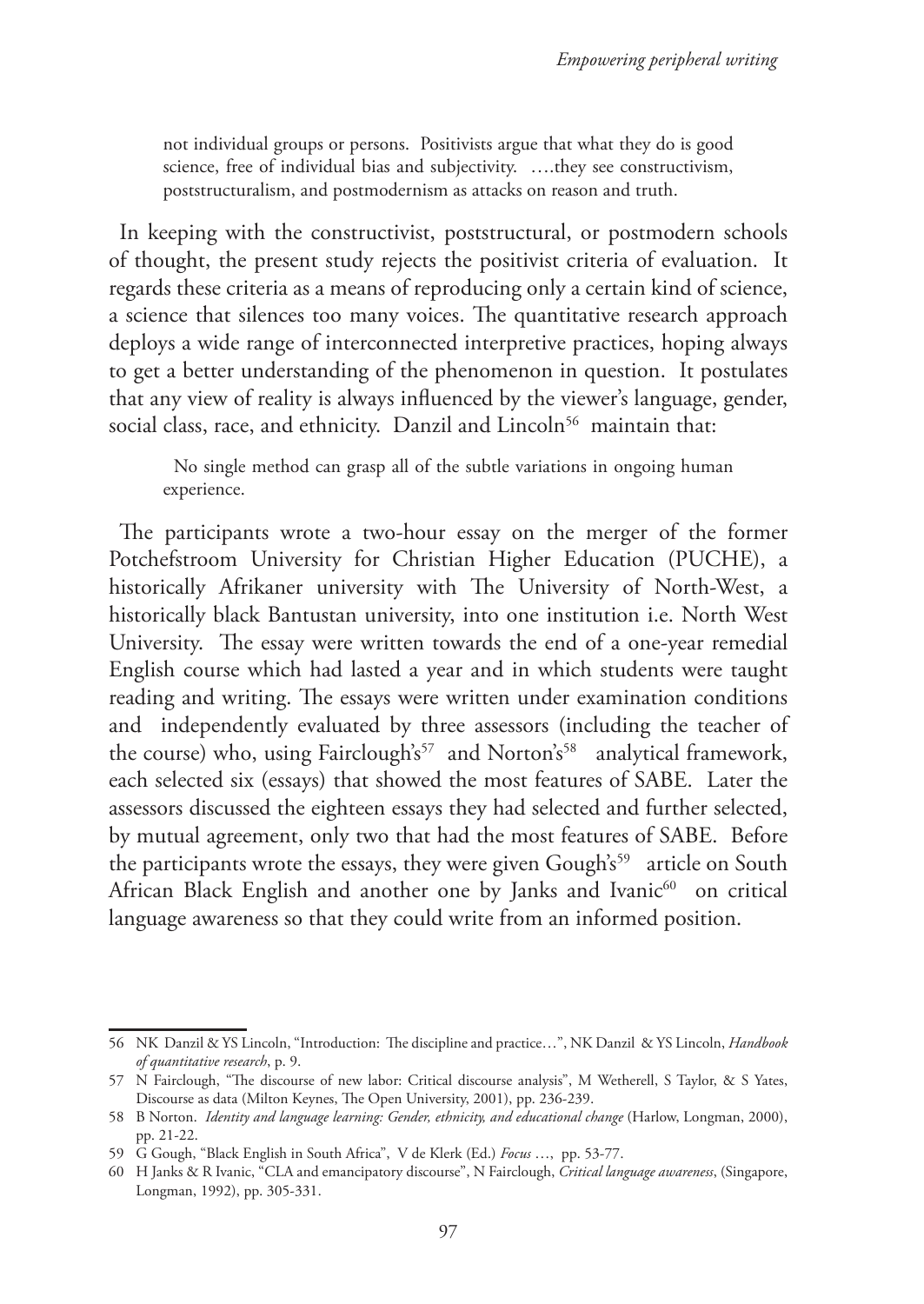not individual groups or persons. Positivists argue that what they do is good science, free of individual bias and subjectivity. ….they see constructivism, poststructuralism, and postmodernism as attacks on reason and truth.

In keeping with the constructivist, poststructural, or postmodern schools of thought, the present study rejects the positivist criteria of evaluation. It regards these criteria as a means of reproducing only a certain kind of science, a science that silences too many voices. The quantitative research approach deploys a wide range of interconnected interpretive practices, hoping always to get a better understanding of the phenomenon in question. It postulates that any view of reality is always influenced by the viewer's language, gender, social class, race, and ethnicity. Danzil and Lincoln<sup>56</sup> maintain that:

No single method can grasp all of the subtle variations in ongoing human experience.

The participants wrote a two-hour essay on the merger of the former Potchefstroom University for Christian Higher Education (PUCHE), a historically Afrikaner university with The University of North-West, a historically black Bantustan university, into one institution i.e. North West University. The essay were written towards the end of a one-year remedial English course which had lasted a year and in which students were taught reading and writing. The essays were written under examination conditions and independently evaluated by three assessors (including the teacher of the course) who, using Fairclough's<sup>57</sup> and Norton's<sup>58</sup> analytical framework, each selected six (essays) that showed the most features of SABE. Later the assessors discussed the eighteen essays they had selected and further selected, by mutual agreement, only two that had the most features of SABE. Before the participants wrote the essays, they were given Gough's<sup>59</sup> article on South African Black English and another one by Janks and Ivanic<sup>60</sup> on critical language awareness so that they could write from an informed position.

<sup>56</sup> NK Danzil & YS Lincoln, "Introduction: The discipline and practice…", NK Danzil & YS Lincoln, *Handbook of quantitative research*, p. 9.

<sup>57</sup> N Fairclough, "The discourse of new labor: Critical discourse analysis", M Wetherell, S Taylor, & S Yates, Discourse as data (Milton Keynes, The Open University, 2001), pp. 236-239.

<sup>58</sup> B Norton. *Identity and language learning: Gender, ethnicity, and educational change* (Harlow, Longman, 2000), pp. 21-22.

<sup>59</sup> G Gough, "Black English in South Africa", V de Klerk (Ed.) *Focus* …, pp. 53-77.

<sup>60</sup> H Janks & R Ivanic, "CLA and emancipatory discourse", N Fairclough, *Critical language awareness*, (Singapore, Longman, 1992), pp. 305-331.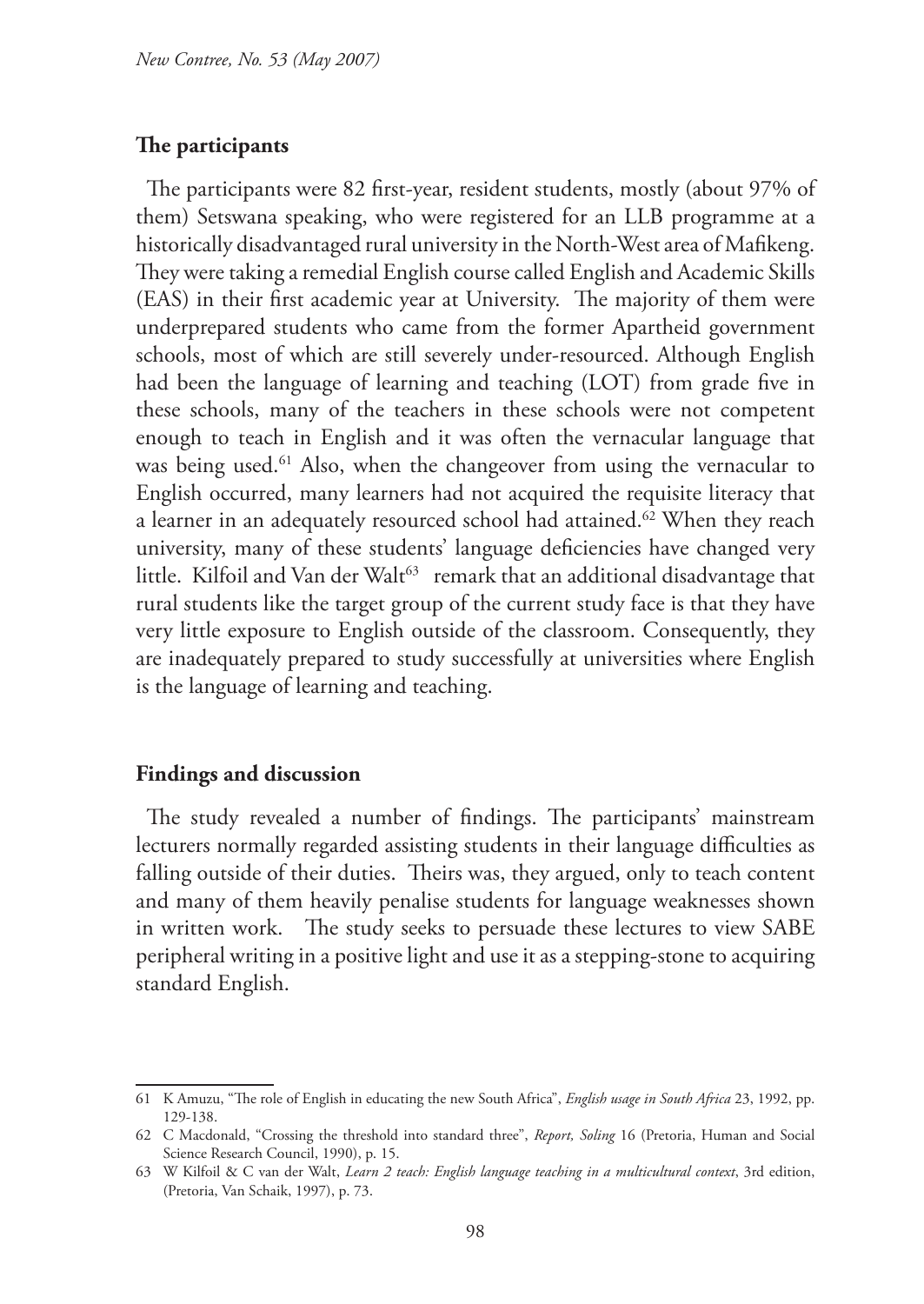#### **The participants**

The participants were 82 first-year, resident students, mostly (about 97% of them) Setswana speaking, who were registered for an LLB programme at a historically disadvantaged rural university in the North-West area of Mafikeng. They were taking a remedial English course called English and Academic Skills (EAS) in their first academic year at University. The majority of them were underprepared students who came from the former Apartheid government schools, most of which are still severely under-resourced. Although English had been the language of learning and teaching (LOT) from grade five in these schools, many of the teachers in these schools were not competent enough to teach in English and it was often the vernacular language that was being used.<sup>61</sup> Also, when the changeover from using the vernacular to English occurred, many learners had not acquired the requisite literacy that a learner in an adequately resourced school had attained.<sup>62</sup> When they reach university, many of these students' language deficiencies have changed very little. Kilfoil and Van der Walt<sup>63</sup> remark that an additional disadvantage that rural students like the target group of the current study face is that they have very little exposure to English outside of the classroom. Consequently, they are inadequately prepared to study successfully at universities where English is the language of learning and teaching.

#### **Findings and discussion**

The study revealed a number of findings. The participants' mainstream lecturers normally regarded assisting students in their language difficulties as falling outside of their duties. Theirs was, they argued, only to teach content and many of them heavily penalise students for language weaknesses shown in written work. The study seeks to persuade these lectures to view SABE peripheral writing in a positive light and use it as a stepping-stone to acquiring standard English.

<sup>61</sup> K Amuzu, "The role of English in educating the new South Africa", *English usage in South Africa* 23, 1992, pp. 129-138.

<sup>62</sup> C Macdonald, "Crossing the threshold into standard three", *Report, Soling* 16 (Pretoria, Human and Social Science Research Council, 1990), p. 15.

<sup>63</sup> W Kilfoil & C van der Walt, *Learn 2 teach: English language teaching in a multicultural context*, 3rd edition, (Pretoria, Van Schaik, 1997), p. 73.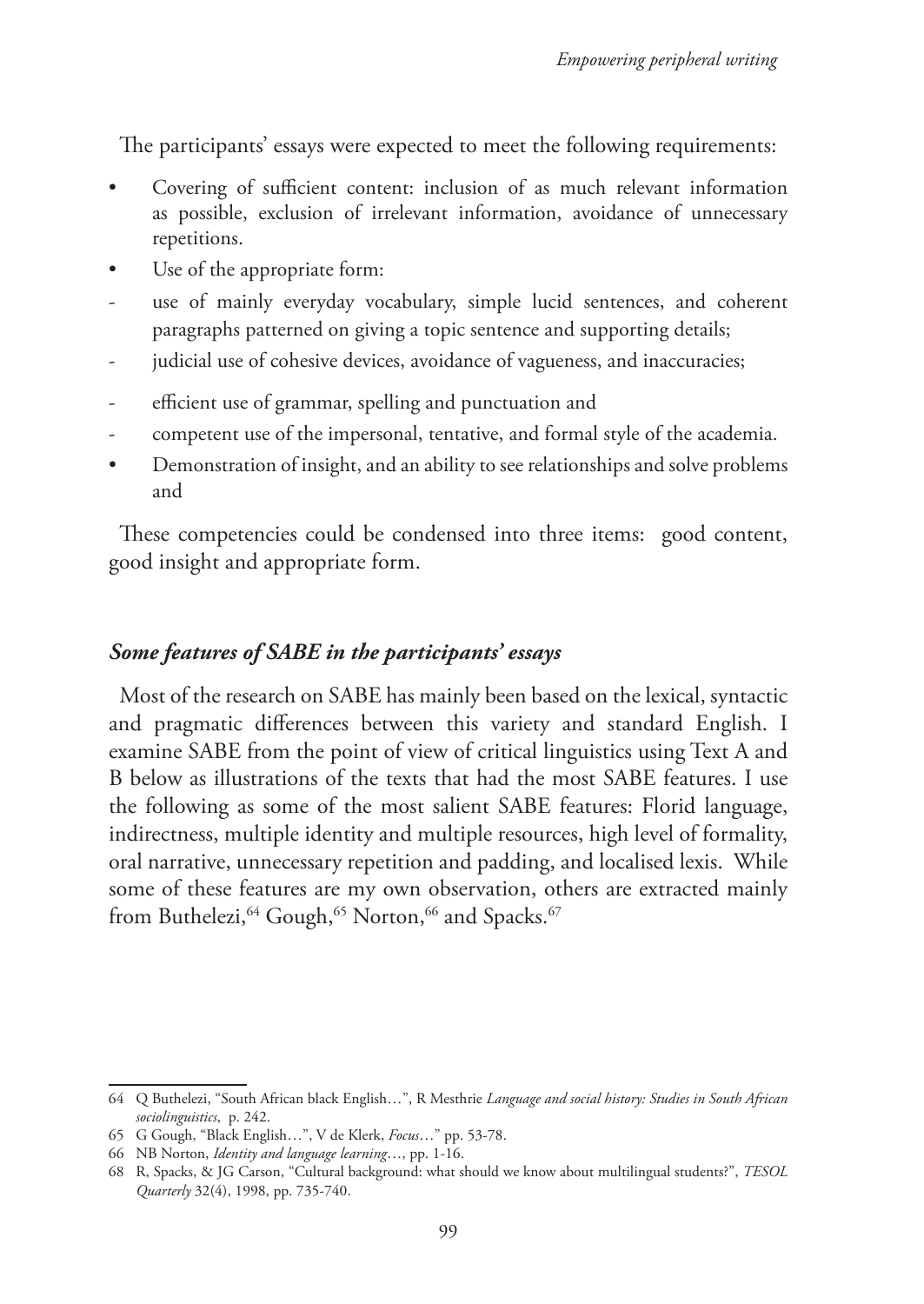The participants' essays were expected to meet the following requirements:

- Covering of sufficient content: inclusion of as much relevant information as possible, exclusion of irrelevant information, avoidance of unnecessary repetitions.
- Use of the appropriate form:
- use of mainly everyday vocabulary, simple lucid sentences, and coherent paragraphs patterned on giving a topic sentence and supporting details;
- judicial use of cohesive devices, avoidance of vagueness, and inaccuracies;
- efficient use of grammar, spelling and punctuation and
- competent use of the impersonal, tentative, and formal style of the academia.
- Demonstration of insight, and an ability to see relationships and solve problems and

These competencies could be condensed into three items: good content, good insight and appropriate form.

# *Some features of SABE in the participants' essays*

Most of the research on SABE has mainly been based on the lexical, syntactic and pragmatic differences between this variety and standard English. I examine SABE from the point of view of critical linguistics using Text A and B below as illustrations of the texts that had the most SABE features. I use the following as some of the most salient SABE features: Florid language, indirectness, multiple identity and multiple resources, high level of formality, oral narrative, unnecessary repetition and padding, and localised lexis. While some of these features are my own observation, others are extracted mainly from Buthelezi,<sup>64</sup> Gough,<sup>65</sup> Norton,<sup>66</sup> and Spacks.<sup>67</sup>

<sup>64</sup> Q Buthelezi, "South African black English…", R Mesthrie *Language and social history: Studies in South African sociolinguistics*, p. 242.

<sup>65</sup> G Gough, "Black English…", V de Klerk, *Focus*…" pp. 53-78.

<sup>66</sup> NB Norton, *Identity and language learning*…, pp. 1-16.

<sup>68</sup> R, Spacks, & JG Carson, "Cultural background: what should we know about multilingual students?", *TESOL Quarterly* 32(4), 1998, pp. 735-740.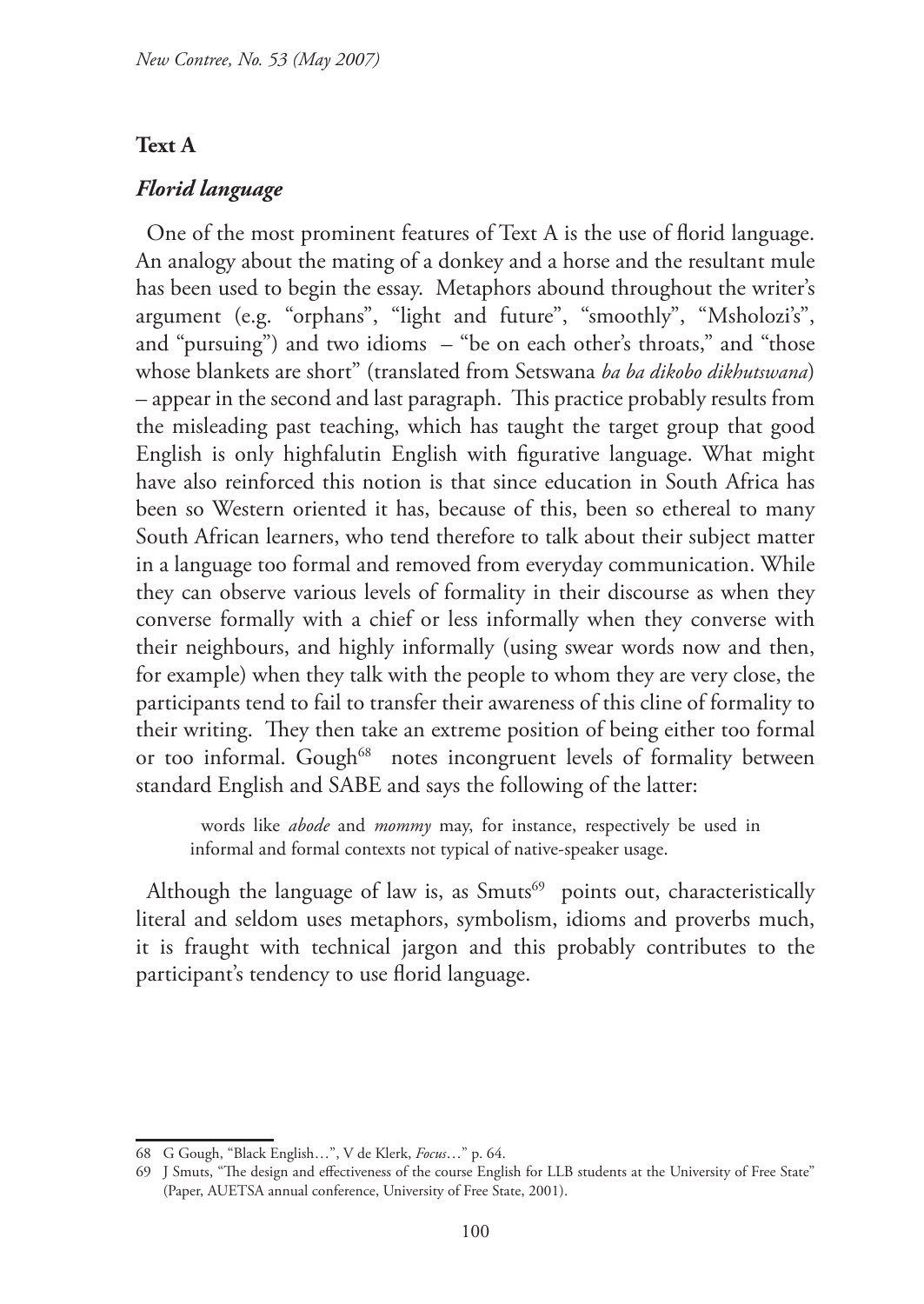#### **Text A**

### *Florid language*

One of the most prominent features of Text A is the use of florid language. An analogy about the mating of a donkey and a horse and the resultant mule has been used to begin the essay. Metaphors abound throughout the writer's argument (e.g. "orphans", "light and future", "smoothly", "Msholozi's", and "pursuing") and two idioms – "be on each other's throats," and "those whose blankets are short" (translated from Setswana *ba ba dikobo dikhutswana*) – appear in the second and last paragraph. This practice probably results from the misleading past teaching, which has taught the target group that good English is only highfalutin English with figurative language. What might have also reinforced this notion is that since education in South Africa has been so Western oriented it has, because of this, been so ethereal to many South African learners, who tend therefore to talk about their subject matter in a language too formal and removed from everyday communication. While they can observe various levels of formality in their discourse as when they converse formally with a chief or less informally when they converse with their neighbours, and highly informally (using swear words now and then, for example) when they talk with the people to whom they are very close, the participants tend to fail to transfer their awareness of this cline of formality to their writing. They then take an extreme position of being either too formal or too informal. Gough<sup>68</sup> notes incongruent levels of formality between standard English and SABE and says the following of the latter:

words like *abode* and *mommy* may, for instance, respectively be used in informal and formal contexts not typical of native-speaker usage.

Although the language of law is, as  $Smuts^{69}$  points out, characteristically literal and seldom uses metaphors, symbolism, idioms and proverbs much, it is fraught with technical jargon and this probably contributes to the participant's tendency to use florid language.

<sup>68</sup> G Gough, "Black English…", V de Klerk, *Focus*…" p. 64.

<sup>69</sup> J Smuts, "The design and effectiveness of the course English for LLB students at the University of Free State" (Paper, AUETSA annual conference, University of Free State, 2001).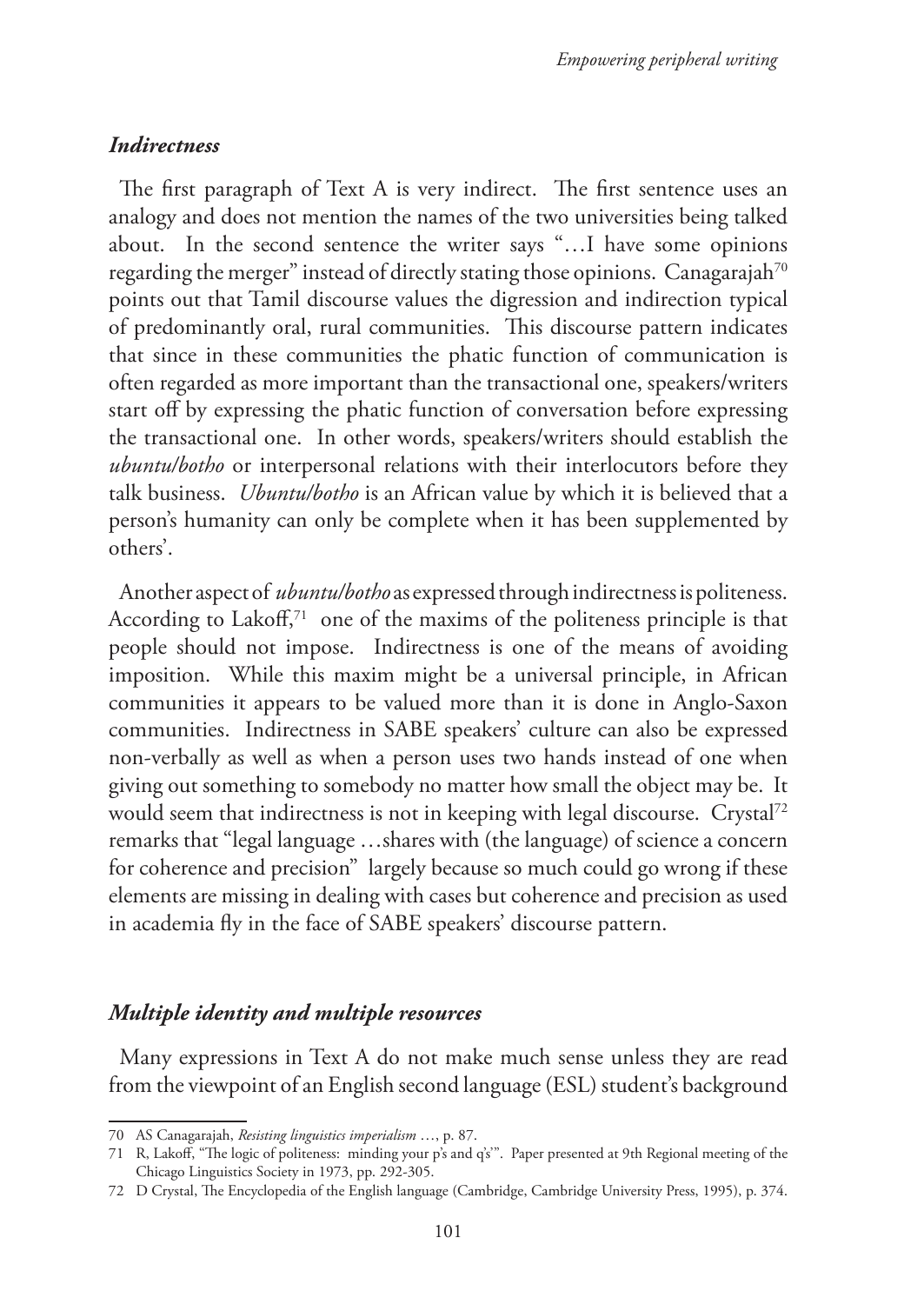## *Indirectness*

The first paragraph of Text A is very indirect. The first sentence uses an analogy and does not mention the names of the two universities being talked about. In the second sentence the writer says "…I have some opinions regarding the merger" instead of directly stating those opinions. Canagarajah<sup>70</sup> points out that Tamil discourse values the digression and indirection typical of predominantly oral, rural communities. This discourse pattern indicates that since in these communities the phatic function of communication is often regarded as more important than the transactional one, speakers/writers start off by expressing the phatic function of conversation before expressing the transactional one. In other words, speakers/writers should establish the *ubuntu/botho* or interpersonal relations with their interlocutors before they talk business. *Ubuntu/botho* is an African value by which it is believed that a person's humanity can only be complete when it has been supplemented by others'.

Another aspect of *ubuntu/botho* as expressed through indirectness is politeness. According to Lakoff, $71$  one of the maxims of the politeness principle is that people should not impose. Indirectness is one of the means of avoiding imposition. While this maxim might be a universal principle, in African communities it appears to be valued more than it is done in Anglo-Saxon communities. Indirectness in SABE speakers' culture can also be expressed non-verbally as well as when a person uses two hands instead of one when giving out something to somebody no matter how small the object may be. It would seem that indirectness is not in keeping with legal discourse. Crystal72 remarks that "legal language …shares with (the language) of science a concern for coherence and precision" largely because so much could go wrong if these elements are missing in dealing with cases but coherence and precision as used in academia fly in the face of SABE speakers' discourse pattern.

# *Multiple identity and multiple resources*

Many expressions in Text A do not make much sense unless they are read from the viewpoint of an English second language (ESL) student's background

<sup>70</sup> AS Canagarajah, *Resisting linguistics imperialism* …, p. 87.

<sup>71</sup> R, Lakoff, "The logic of politeness: minding your p's and q's'". Paper presented at 9th Regional meeting of the Chicago Linguistics Society in 1973, pp. 292-305.

<sup>72</sup> D Crystal, The Encyclopedia of the English language (Cambridge, Cambridge University Press, 1995), p. 374.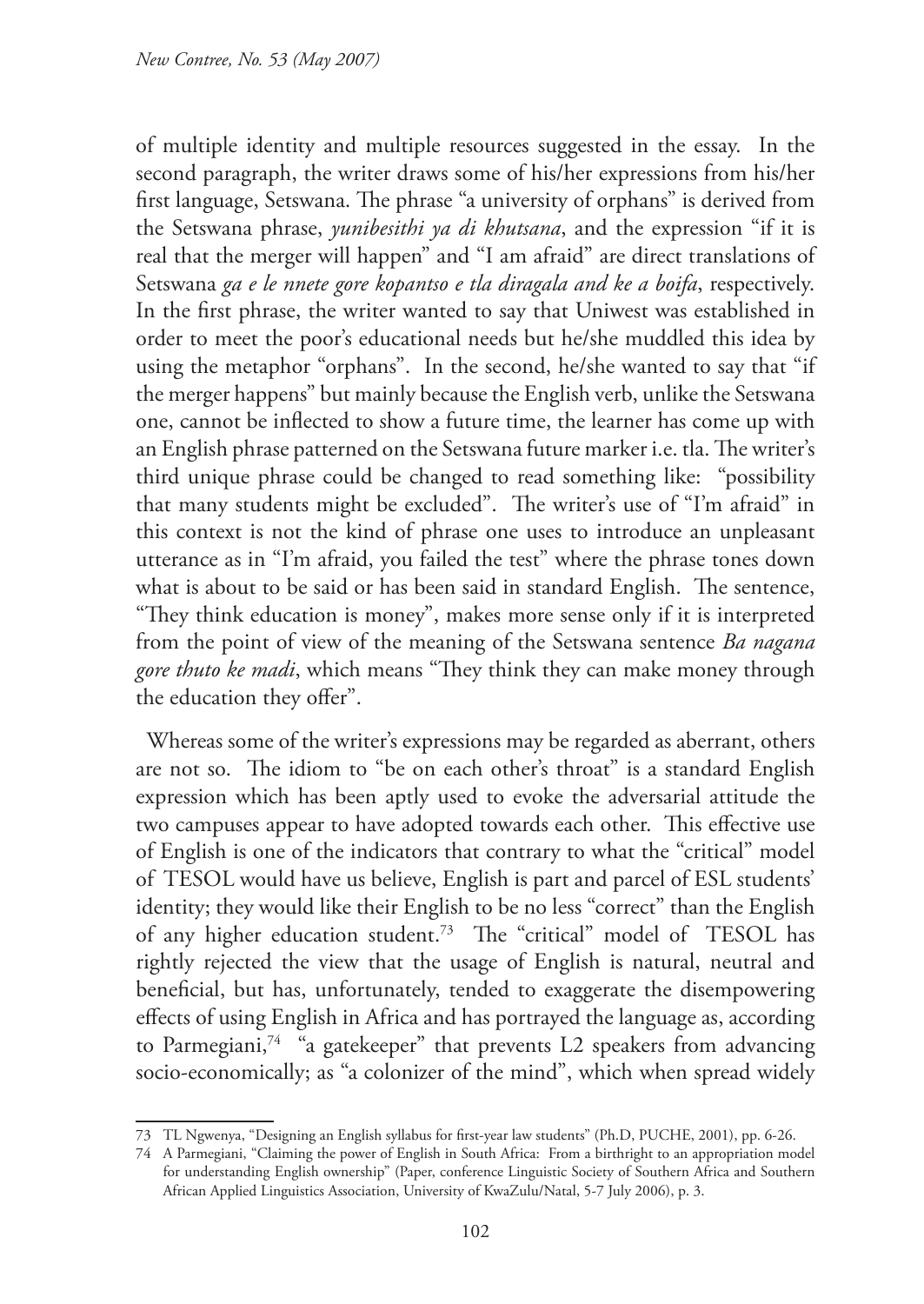of multiple identity and multiple resources suggested in the essay. In the second paragraph, the writer draws some of his/her expressions from his/her first language, Setswana. The phrase "a university of orphans" is derived from the Setswana phrase, *yunibesithi ya di khutsana*, and the expression "if it is real that the merger will happen" and "I am afraid" are direct translations of Setswana *ga e le nnete gore kopantso e tla diragala and ke a boifa*, respectively. In the first phrase, the writer wanted to say that Uniwest was established in order to meet the poor's educational needs but he/she muddled this idea by using the metaphor "orphans". In the second, he/she wanted to say that "if the merger happens" but mainly because the English verb, unlike the Setswana one, cannot be inflected to show a future time, the learner has come up with an English phrase patterned on the Setswana future marker i.e. tla. The writer's third unique phrase could be changed to read something like: "possibility that many students might be excluded". The writer's use of "I'm afraid" in this context is not the kind of phrase one uses to introduce an unpleasant utterance as in "I'm afraid, you failed the test" where the phrase tones down what is about to be said or has been said in standard English. The sentence, "They think education is money", makes more sense only if it is interpreted from the point of view of the meaning of the Setswana sentence *Ba nagana gore thuto ke madi*, which means "They think they can make money through the education they offer".

Whereas some of the writer's expressions may be regarded as aberrant, others are not so. The idiom to "be on each other's throat" is a standard English expression which has been aptly used to evoke the adversarial attitude the two campuses appear to have adopted towards each other. This effective use of English is one of the indicators that contrary to what the "critical" model of TESOL would have us believe, English is part and parcel of ESL students' identity; they would like their English to be no less "correct" than the English of any higher education student.<sup>73</sup> The "critical" model of TESOL has rightly rejected the view that the usage of English is natural, neutral and beneficial, but has, unfortunately, tended to exaggerate the disempowering effects of using English in Africa and has portrayed the language as, according to Parmegiani,<sup>74</sup> "a gatekeeper" that prevents L2 speakers from advancing socio-economically; as "a colonizer of the mind", which when spread widely

<sup>73</sup> TL Ngwenya, "Designing an English syllabus for first-year law students" (Ph.D, PUCHE, 2001), pp. 6-26.

<sup>74</sup> A Parmegiani, "Claiming the power of English in South Africa: From a birthright to an appropriation model for understanding English ownership" (Paper, conference Linguistic Society of Southern Africa and Southern African Applied Linguistics Association, University of KwaZulu/Natal, 5-7 July 2006), p. 3.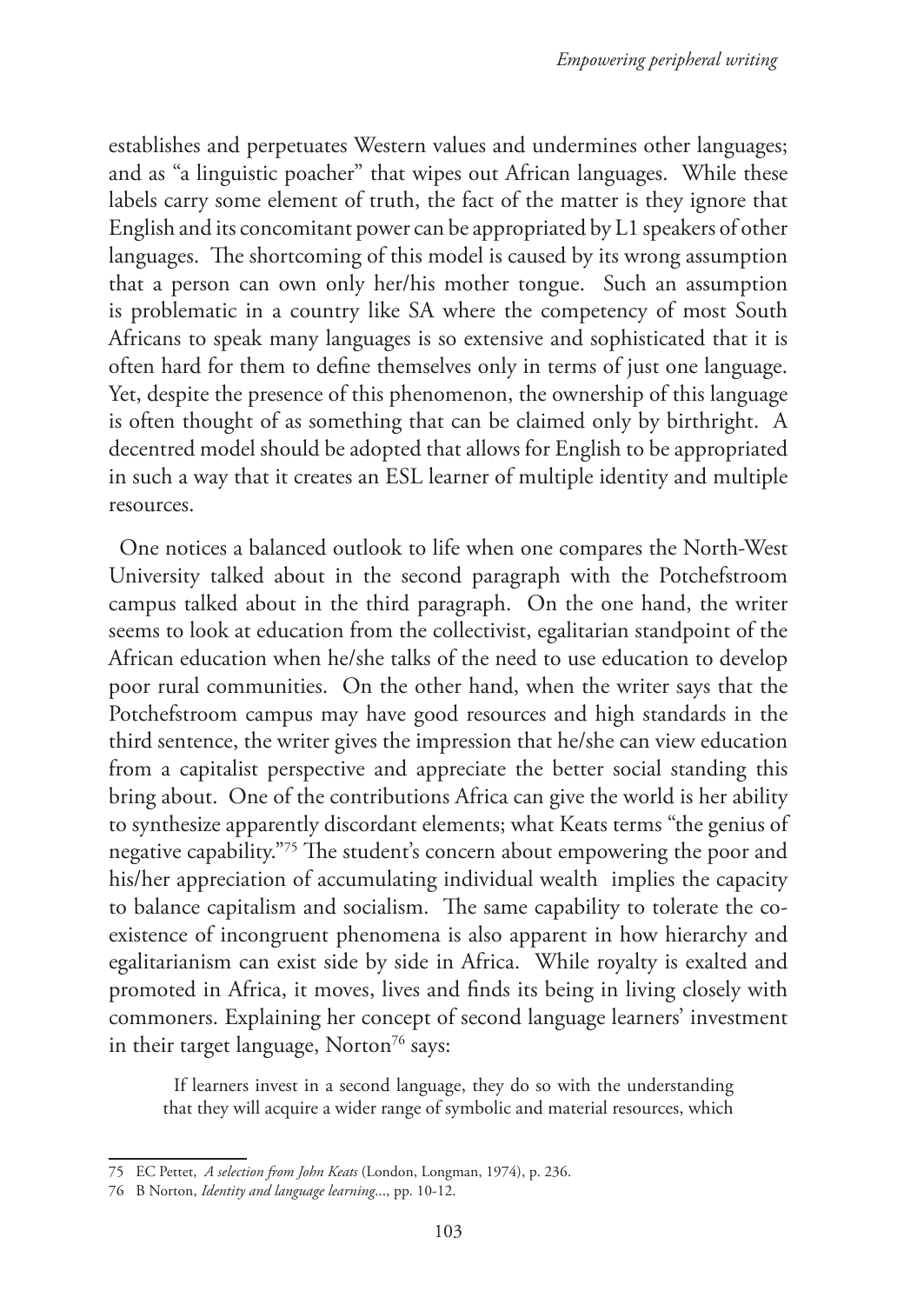establishes and perpetuates Western values and undermines other languages; and as "a linguistic poacher" that wipes out African languages. While these labels carry some element of truth, the fact of the matter is they ignore that English and its concomitant power can be appropriated by L1 speakers of other languages. The shortcoming of this model is caused by its wrong assumption that a person can own only her/his mother tongue. Such an assumption is problematic in a country like SA where the competency of most South Africans to speak many languages is so extensive and sophisticated that it is often hard for them to define themselves only in terms of just one language. Yet, despite the presence of this phenomenon, the ownership of this language is often thought of as something that can be claimed only by birthright. A decentred model should be adopted that allows for English to be appropriated in such a way that it creates an ESL learner of multiple identity and multiple resources.

One notices a balanced outlook to life when one compares the North-West University talked about in the second paragraph with the Potchefstroom campus talked about in the third paragraph. On the one hand, the writer seems to look at education from the collectivist, egalitarian standpoint of the African education when he/she talks of the need to use education to develop poor rural communities. On the other hand, when the writer says that the Potchefstroom campus may have good resources and high standards in the third sentence, the writer gives the impression that he/she can view education from a capitalist perspective and appreciate the better social standing this bring about. One of the contributions Africa can give the world is her ability to synthesize apparently discordant elements; what Keats terms "the genius of negative capability."75 The student's concern about empowering the poor and his/her appreciation of accumulating individual wealth implies the capacity to balance capitalism and socialism. The same capability to tolerate the coexistence of incongruent phenomena is also apparent in how hierarchy and egalitarianism can exist side by side in Africa. While royalty is exalted and promoted in Africa, it moves, lives and finds its being in living closely with commoners. Explaining her concept of second language learners' investment in their target language, Norton<sup>76</sup> says:

If learners invest in a second language, they do so with the understanding that they will acquire a wider range of symbolic and material resources, which

<sup>75</sup> EC Pettet, *A selection from John Keats* (London, Longman, 1974), p. 236.

<sup>76</sup> B Norton, *Identity and language learning*..., pp. 10-12.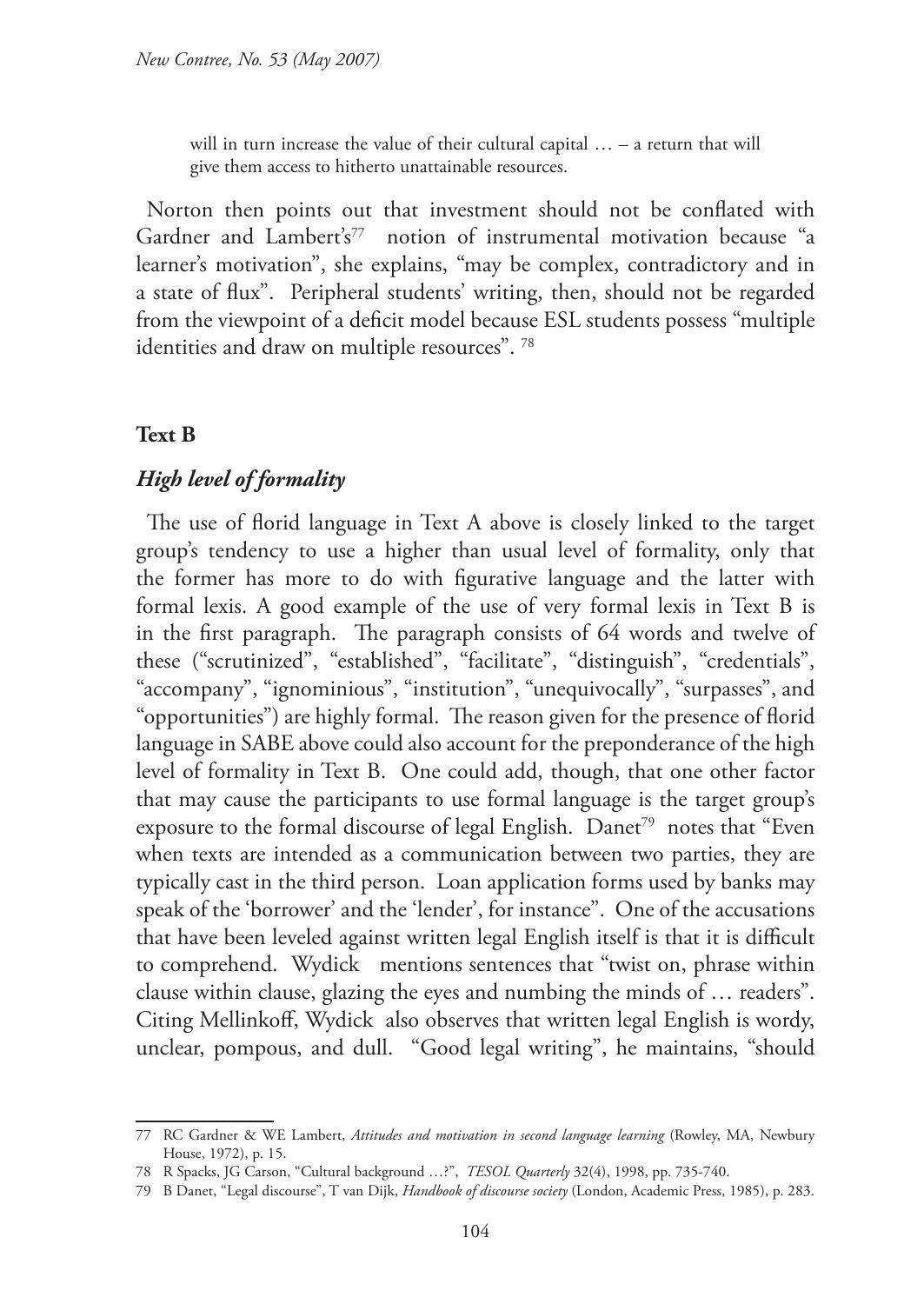will in turn increase the value of their cultural capital ... – a return that will give them access to hitherto unattainable resources.

Norton then points out that investment should not be conflated with Gardner and Lambert's<sup>77</sup> notion of instrumental motivation because "a learner's motivation", she explains, "may be complex, contradictory and in a state of flux". Peripheral students' writing, then, should not be regarded from the viewpoint of a deficit model because ESL students possess "multiple identities and draw on multiple resources".<sup>78</sup>

## **Text B**

## *High level of formality*

The use of florid language in Text A above is closely linked to the target group's tendency to use a higher than usual level of formality, only that the former has more to do with figurative language and the latter with formal lexis. A good example of the use of very formal lexis in Text B is in the first paragraph. The paragraph consists of 64 words and twelve of these ("scrutinized", "established", "facilitate", "distinguish", "credentials", "accompany", "ignominious", "institution", "unequivocally", "surpasses", and "opportunities") are highly formal. The reason given for the presence of florid language in SABE above could also account for the preponderance of the high level of formality in Text B. One could add, though, that one other factor that may cause the participants to use formal language is the target group's exposure to the formal discourse of legal English. Danet<sup>79</sup> notes that "Even when texts are intended as a communication between two parties, they are typically cast in the third person. Loan application forms used by banks may speak of the 'borrower' and the 'lender', for instance". One of the accusations that have been leveled against written legal English itself is that it is difficult to comprehend. Wydick mentions sentences that "twist on, phrase within clause within clause, glazing the eyes and numbing the minds of … readers". Citing Mellinkoff, Wydick also observes that written legal English is wordy, unclear, pompous, and dull. "Good legal writing", he maintains, "should

<sup>77</sup> RC Gardner & WE Lambert, *Attitudes and motivation in second language learning* (Rowley, MA, Newbury House, 1972), p. 15.

<sup>78</sup> R Spacks, JG Carson, "Cultural background …?", *TESOL Quarterly* 32(4), 1998, pp. 735-740.

<sup>79</sup> B Danet, "Legal discourse", T van Dijk, *Handbook of discourse society* (London, Academic Press, 1985), p. 283.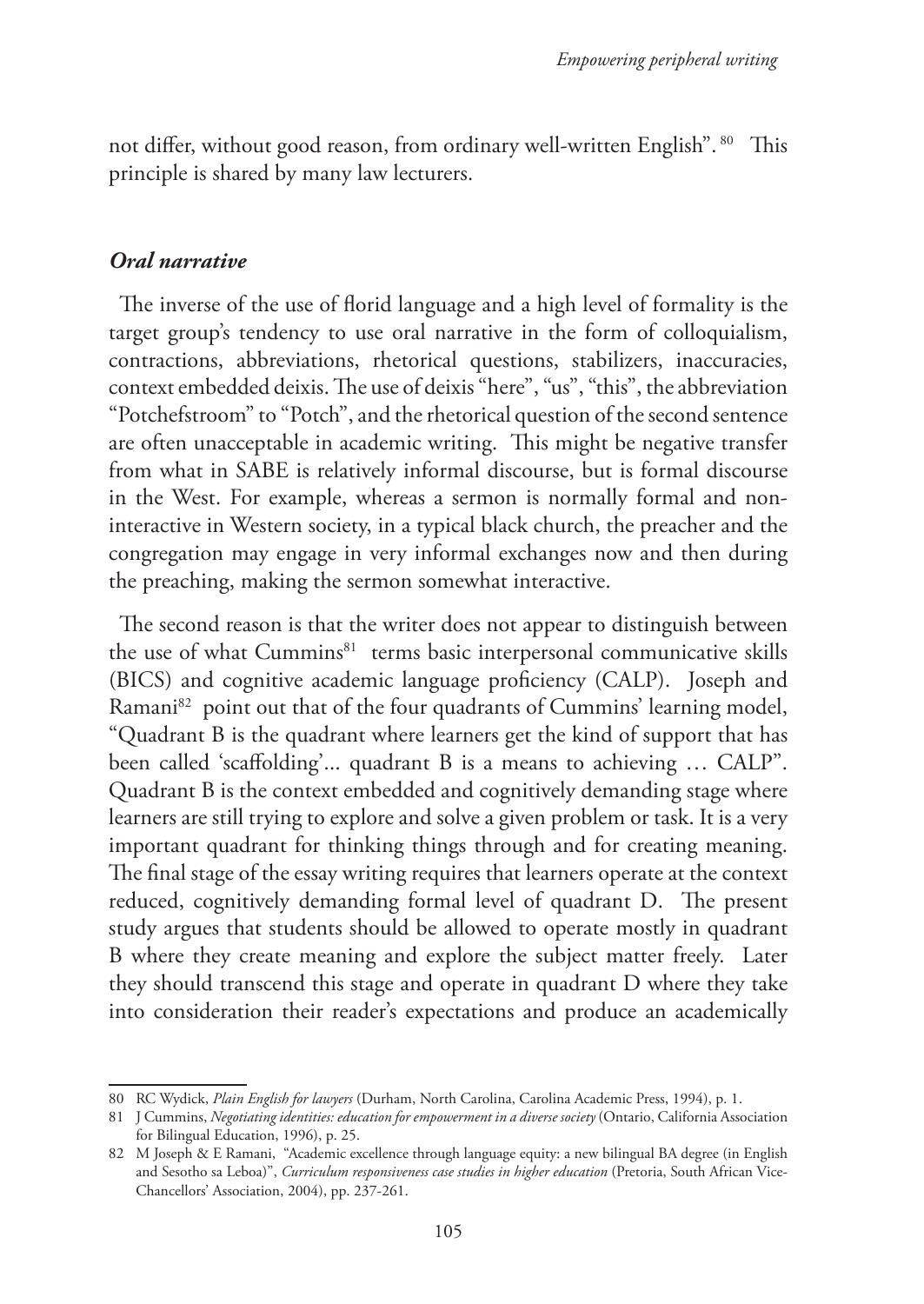not differ, without good reason, from ordinary well-written English". <sup>80</sup> This principle is shared by many law lecturers.

#### *Oral narrative*

The inverse of the use of florid language and a high level of formality is the target group's tendency to use oral narrative in the form of colloquialism, contractions, abbreviations, rhetorical questions, stabilizers, inaccuracies, context embedded deixis. The use of deixis "here", "us", "this", the abbreviation "Potchefstroom" to "Potch", and the rhetorical question of the second sentence are often unacceptable in academic writing. This might be negative transfer from what in SABE is relatively informal discourse, but is formal discourse in the West. For example, whereas a sermon is normally formal and noninteractive in Western society, in a typical black church, the preacher and the congregation may engage in very informal exchanges now and then during the preaching, making the sermon somewhat interactive.

The second reason is that the writer does not appear to distinguish between the use of what Cummins<sup>81</sup> terms basic interpersonal communicative skills (BICS) and cognitive academic language proficiency (CALP). Joseph and Ramani<sup>82</sup> point out that of the four quadrants of Cummins' learning model, "Quadrant B is the quadrant where learners get the kind of support that has been called 'scaffolding'... quadrant B is a means to achieving … CALP". Quadrant B is the context embedded and cognitively demanding stage where learners are still trying to explore and solve a given problem or task. It is a very important quadrant for thinking things through and for creating meaning. The final stage of the essay writing requires that learners operate at the context reduced, cognitively demanding formal level of quadrant D. The present study argues that students should be allowed to operate mostly in quadrant B where they create meaning and explore the subject matter freely. Later they should transcend this stage and operate in quadrant D where they take into consideration their reader's expectations and produce an academically

<sup>80</sup> RC Wydick, *Plain English for lawyers* (Durham, North Carolina, Carolina Academic Press, 1994), p. 1.

<sup>81</sup> J Cummins, *Negotiating identities: education for empowerment in a diverse society* (Ontario, California Association for Bilingual Education, 1996), p. 25.

<sup>82</sup> M Joseph & E Ramani, "Academic excellence through language equity: a new bilingual BA degree (in English and Sesotho sa Leboa)", *Curriculum responsiveness case studies in higher education* (Pretoria, South African Vice-Chancellors' Association, 2004), pp. 237-261.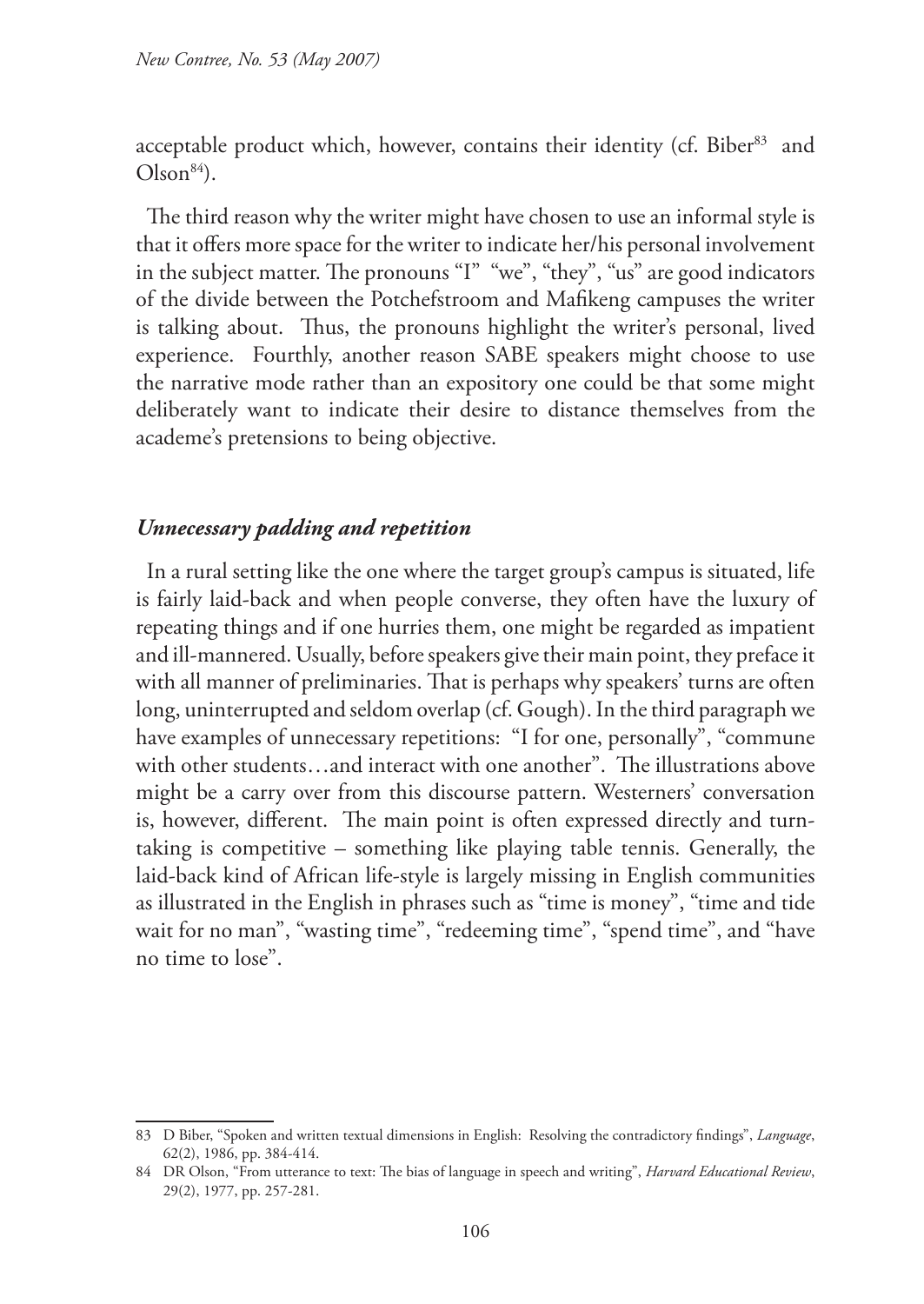acceptable product which, however, contains their identity (cf. Biber<sup>83</sup> and  $Olson<sup>84</sup>$ .

The third reason why the writer might have chosen to use an informal style is that it offers more space for the writer to indicate her/his personal involvement in the subject matter. The pronouns "I" "we", "they", "us" are good indicators of the divide between the Potchefstroom and Mafikeng campuses the writer is talking about. Thus, the pronouns highlight the writer's personal, lived experience. Fourthly, another reason SABE speakers might choose to use the narrative mode rather than an expository one could be that some might deliberately want to indicate their desire to distance themselves from the academe's pretensions to being objective.

#### *Unnecessary padding and repetition*

In a rural setting like the one where the target group's campus is situated, life is fairly laid-back and when people converse, they often have the luxury of repeating things and if one hurries them, one might be regarded as impatient and ill-mannered. Usually, before speakers give their main point, they preface it with all manner of preliminaries. That is perhaps why speakers' turns are often long, uninterrupted and seldom overlap (cf. Gough). In the third paragraph we have examples of unnecessary repetitions: "I for one, personally", "commune with other students…and interact with one another". The illustrations above might be a carry over from this discourse pattern. Westerners' conversation is, however, different. The main point is often expressed directly and turntaking is competitive – something like playing table tennis. Generally, the laid-back kind of African life-style is largely missing in English communities as illustrated in the English in phrases such as "time is money", "time and tide wait for no man", "wasting time", "redeeming time", "spend time", and "have no time to lose".

<sup>83</sup> D Biber, "Spoken and written textual dimensions in English: Resolving the contradictory findings", *Language*, 62(2), 1986, pp. 384-414.

<sup>84</sup> DR Olson, "From utterance to text: The bias of language in speech and writing", *Harvard Educational Review*, 29(2), 1977, pp. 257-281.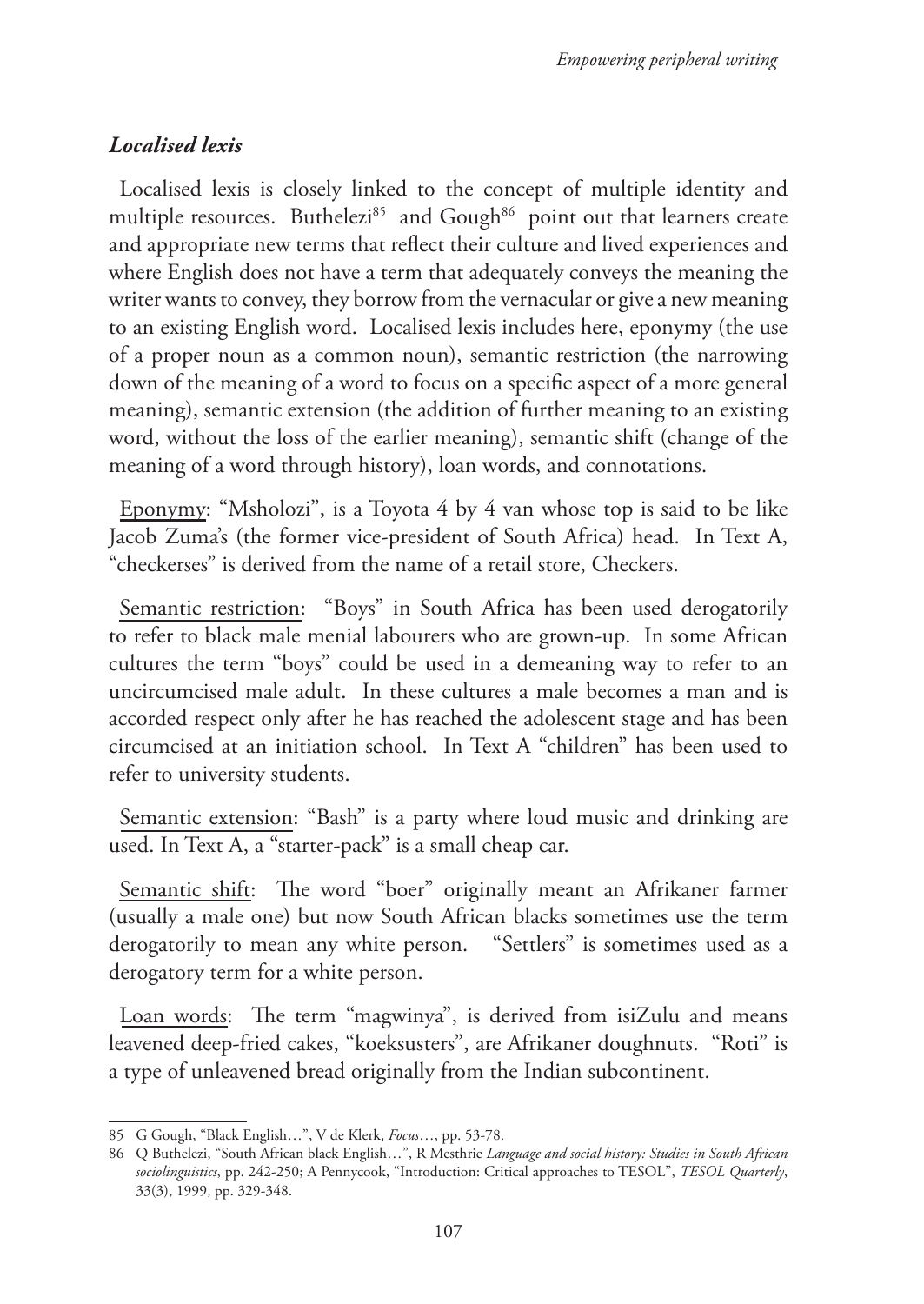# *Localised lexis*

Localised lexis is closely linked to the concept of multiple identity and multiple resources. Buthelezi<sup>85</sup> and Gough<sup>86</sup> point out that learners create and appropriate new terms that reflect their culture and lived experiences and where English does not have a term that adequately conveys the meaning the writer wants to convey, they borrow from the vernacular or give a new meaning to an existing English word. Localised lexis includes here, eponymy (the use of a proper noun as a common noun), semantic restriction (the narrowing down of the meaning of a word to focus on a specific aspect of a more general meaning), semantic extension (the addition of further meaning to an existing word, without the loss of the earlier meaning), semantic shift (change of the meaning of a word through history), loan words, and connotations.

Eponymy: "Msholozi", is a Toyota 4 by 4 van whose top is said to be like Jacob Zuma's (the former vice-president of South Africa) head. In Text A, "checkerses" is derived from the name of a retail store, Checkers.

Semantic restriction: "Boys" in South Africa has been used derogatorily to refer to black male menial labourers who are grown-up. In some African cultures the term "boys" could be used in a demeaning way to refer to an uncircumcised male adult. In these cultures a male becomes a man and is accorded respect only after he has reached the adolescent stage and has been circumcised at an initiation school. In Text A "children" has been used to refer to university students.

Semantic extension: "Bash" is a party where loud music and drinking are used. In Text A, a "starter-pack" is a small cheap car.

Semantic shift: The word "boer" originally meant an Afrikaner farmer (usually a male one) but now South African blacks sometimes use the term derogatorily to mean any white person. "Settlers" is sometimes used as a derogatory term for a white person.

Loan words: The term "magwinya", is derived from isiZulu and means leavened deep-fried cakes, "koeksusters", are Afrikaner doughnuts. "Roti" is a type of unleavened bread originally from the Indian subcontinent.

<sup>85</sup> G Gough, "Black English…", V de Klerk, *Focus*…, pp. 53-78.

<sup>86</sup> Q Buthelezi, "South African black English…", R Mesthrie *Language and social history: Studies in South African sociolinguistics*, pp. 242-250; A Pennycook, "Introduction: Critical approaches to TESOL", *TESOL Quarterly*, 33(3), 1999, pp. 329-348.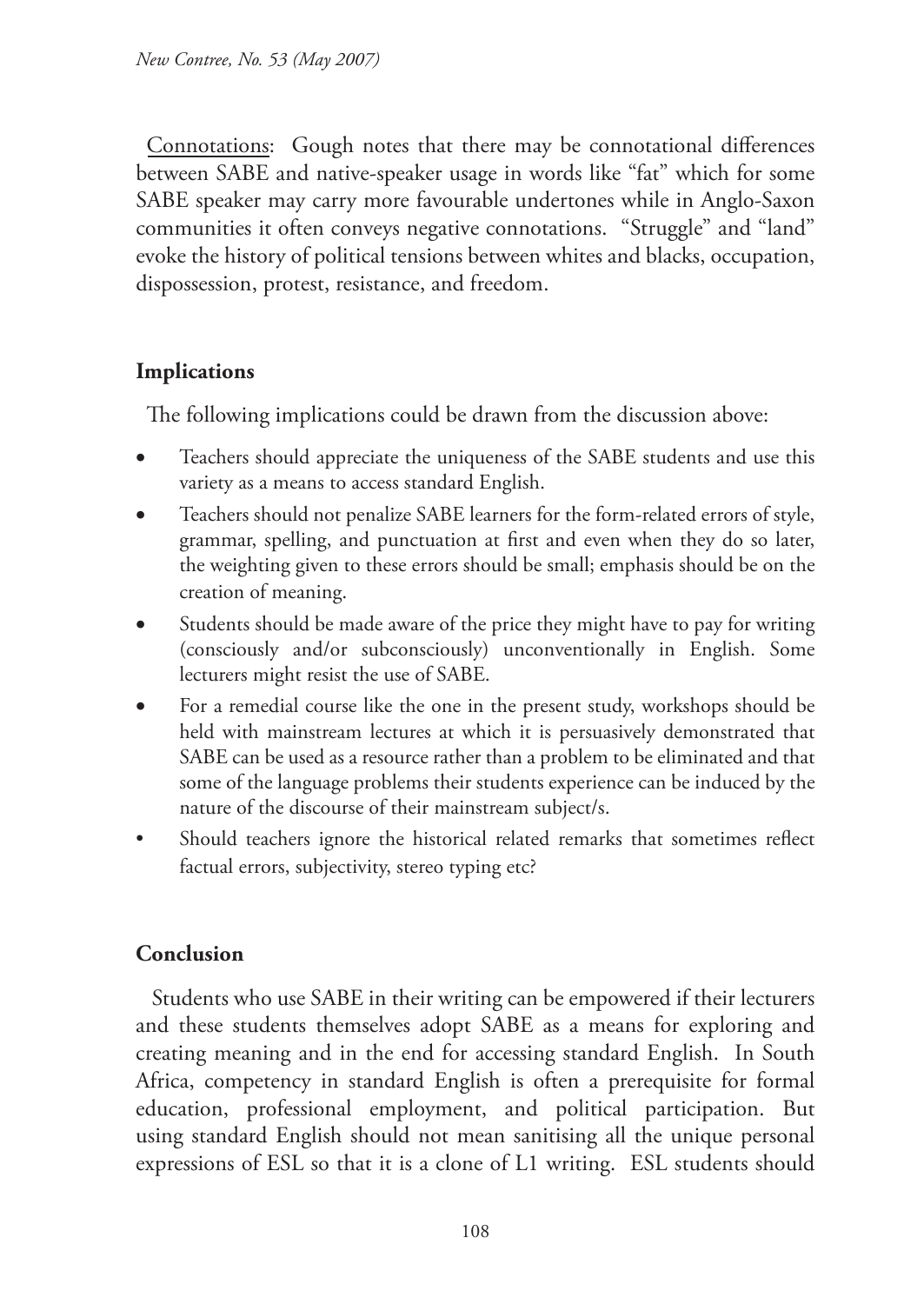Connotations: Gough notes that there may be connotational differences between SABE and native-speaker usage in words like "fat" which for some SABE speaker may carry more favourable undertones while in Anglo-Saxon communities it often conveys negative connotations. "Struggle" and "land" evoke the history of political tensions between whites and blacks, occupation, dispossession, protest, resistance, and freedom.

# **Implications**

The following implications could be drawn from the discussion above:

- Teachers should appreciate the uniqueness of the SABE students and use this variety as a means to access standard English.
- Teachers should not penalize SABE learners for the form-related errors of style, grammar, spelling, and punctuation at first and even when they do so later, the weighting given to these errors should be small; emphasis should be on the creation of meaning.
- Students should be made aware of the price they might have to pay for writing (consciously and/or subconsciously) unconventionally in English. Some lecturers might resist the use of SABE.
- • For a remedial course like the one in the present study, workshops should be held with mainstream lectures at which it is persuasively demonstrated that SABE can be used as a resource rather than a problem to be eliminated and that some of the language problems their students experience can be induced by the nature of the discourse of their mainstream subject/s.
- Should teachers ignore the historical related remarks that sometimes reflect factual errors, subjectivity, stereo typing etc?

# **Conclusion**

 Students who use SABE in their writing can be empowered if their lecturers and these students themselves adopt SABE as a means for exploring and creating meaning and in the end for accessing standard English. In South Africa, competency in standard English is often a prerequisite for formal education, professional employment, and political participation. But using standard English should not mean sanitising all the unique personal expressions of ESL so that it is a clone of L1 writing. ESL students should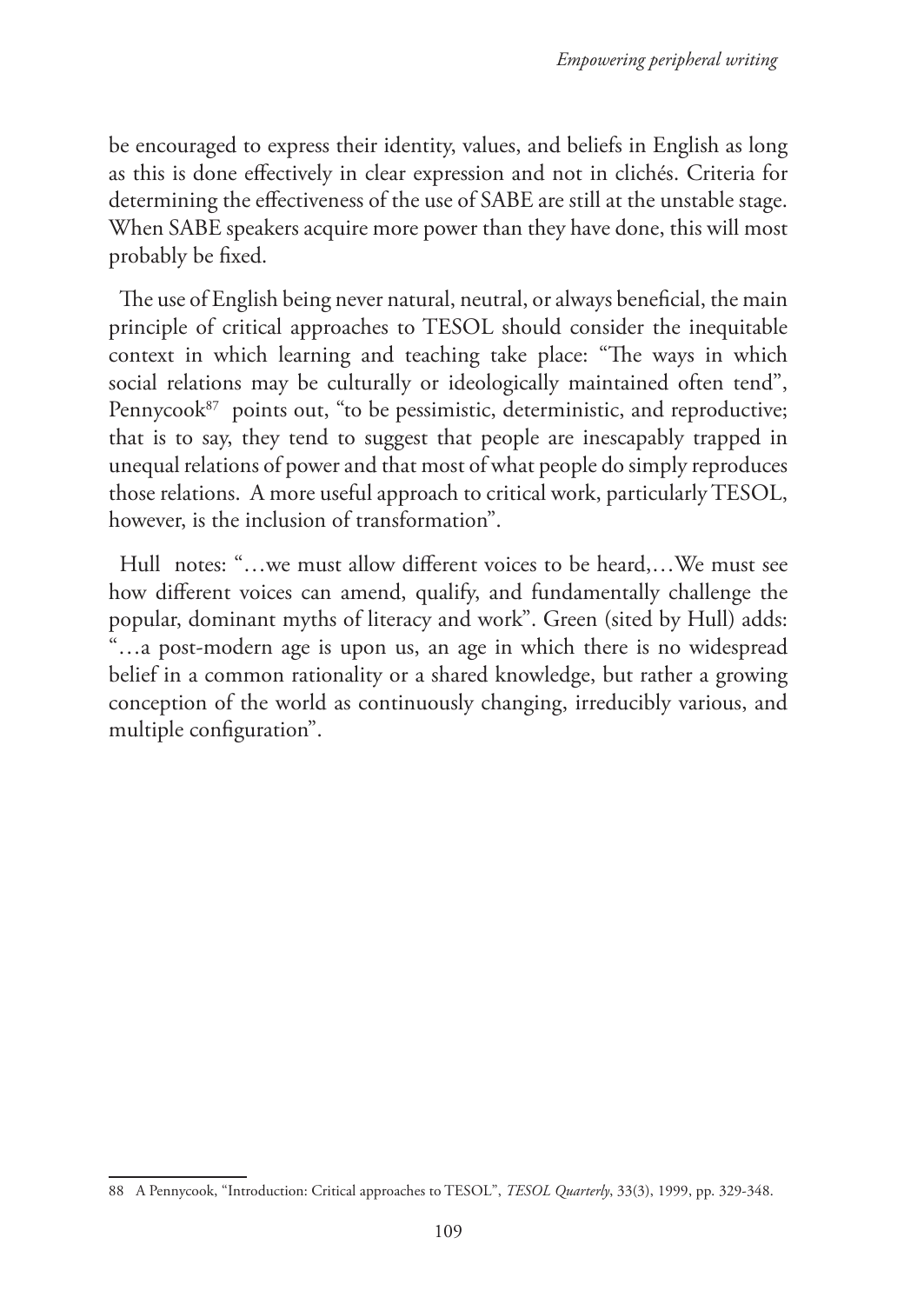be encouraged to express their identity, values, and beliefs in English as long as this is done effectively in clear expression and not in clichés. Criteria for determining the effectiveness of the use of SABE are still at the unstable stage. When SABE speakers acquire more power than they have done, this will most probably be fixed.

The use of English being never natural, neutral, or always beneficial, the main principle of critical approaches to TESOL should consider the inequitable context in which learning and teaching take place: "The ways in which social relations may be culturally or ideologically maintained often tend", Pennycook $87$  points out, "to be pessimistic, deterministic, and reproductive; that is to say, they tend to suggest that people are inescapably trapped in unequal relations of power and that most of what people do simply reproduces those relations. A more useful approach to critical work, particularly TESOL, however, is the inclusion of transformation".

Hull notes: "…we must allow different voices to be heard,…We must see how different voices can amend, qualify, and fundamentally challenge the popular, dominant myths of literacy and work". Green (sited by Hull) adds: "…a post-modern age is upon us, an age in which there is no widespread belief in a common rationality or a shared knowledge, but rather a growing conception of the world as continuously changing, irreducibly various, and multiple configuration".

<sup>88</sup> A Pennycook, "Introduction: Critical approaches to TESOL", *TESOL Quarterly*, 33(3), 1999, pp. 329-348.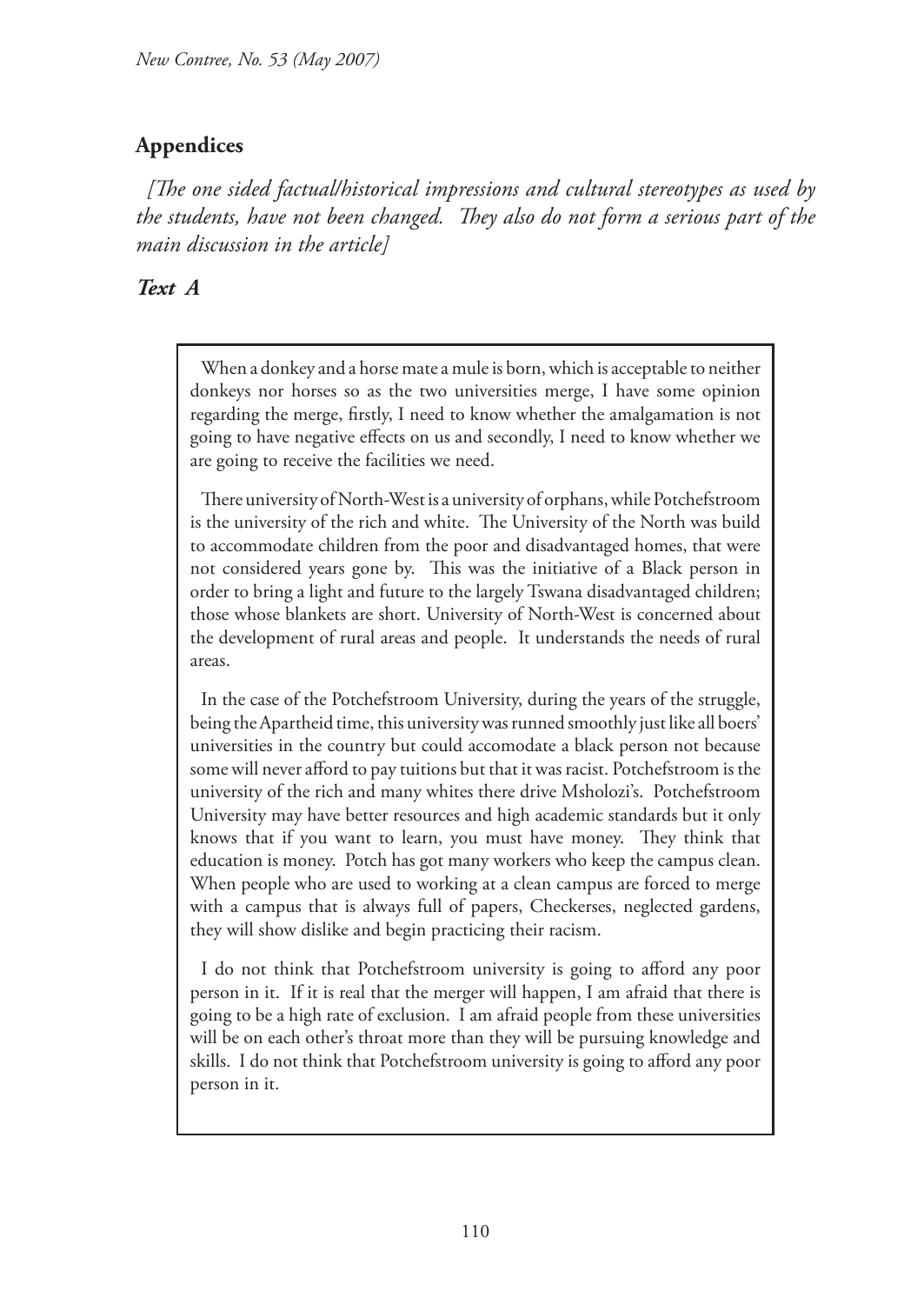# **Appendices**

*[The one sided factual/historical impressions and cultural stereotypes as used by the students, have not been changed. They also do not form a serious part of the main discussion in the article]* 

## *Text A*

When a donkey and a horse mate a mule is born, which is acceptable to neither donkeys nor horses so as the two universities merge, I have some opinion regarding the merge, firstly, I need to know whether the amalgamation is not going to have negative effects on us and secondly, I need to know whether we are going to receive the facilities we need.

There university of North-West is a university of orphans, while Potchefstroom is the university of the rich and white. The University of the North was build to accommodate children from the poor and disadvantaged homes, that were not considered years gone by. This was the initiative of a Black person in order to bring a light and future to the largely Tswana disadvantaged children; those whose blankets are short. University of North-West is concerned about the development of rural areas and people. It understands the needs of rural areas.

In the case of the Potchefstroom University, during the years of the struggle, being the Apartheid time, this university was runned smoothly just like all boers' universities in the country but could accomodate a black person not because some will never afford to pay tuitions but that it was racist. Potchefstroom is the university of the rich and many whites there drive Msholozi's. Potchefstroom University may have better resources and high academic standards but it only knows that if you want to learn, you must have money. They think that education is money. Potch has got many workers who keep the campus clean. When people who are used to working at a clean campus are forced to merge with a campus that is always full of papers, Checkerses, neglected gardens, they will show dislike and begin practicing their racism.

I do not think that Potchefstroom university is going to afford any poor person in it. If it is real that the merger will happen, I am afraid that there is going to be a high rate of exclusion. I am afraid people from these universities will be on each other's throat more than they will be pursuing knowledge and skills. I do not think that Potchefstroom university is going to afford any poor person in it.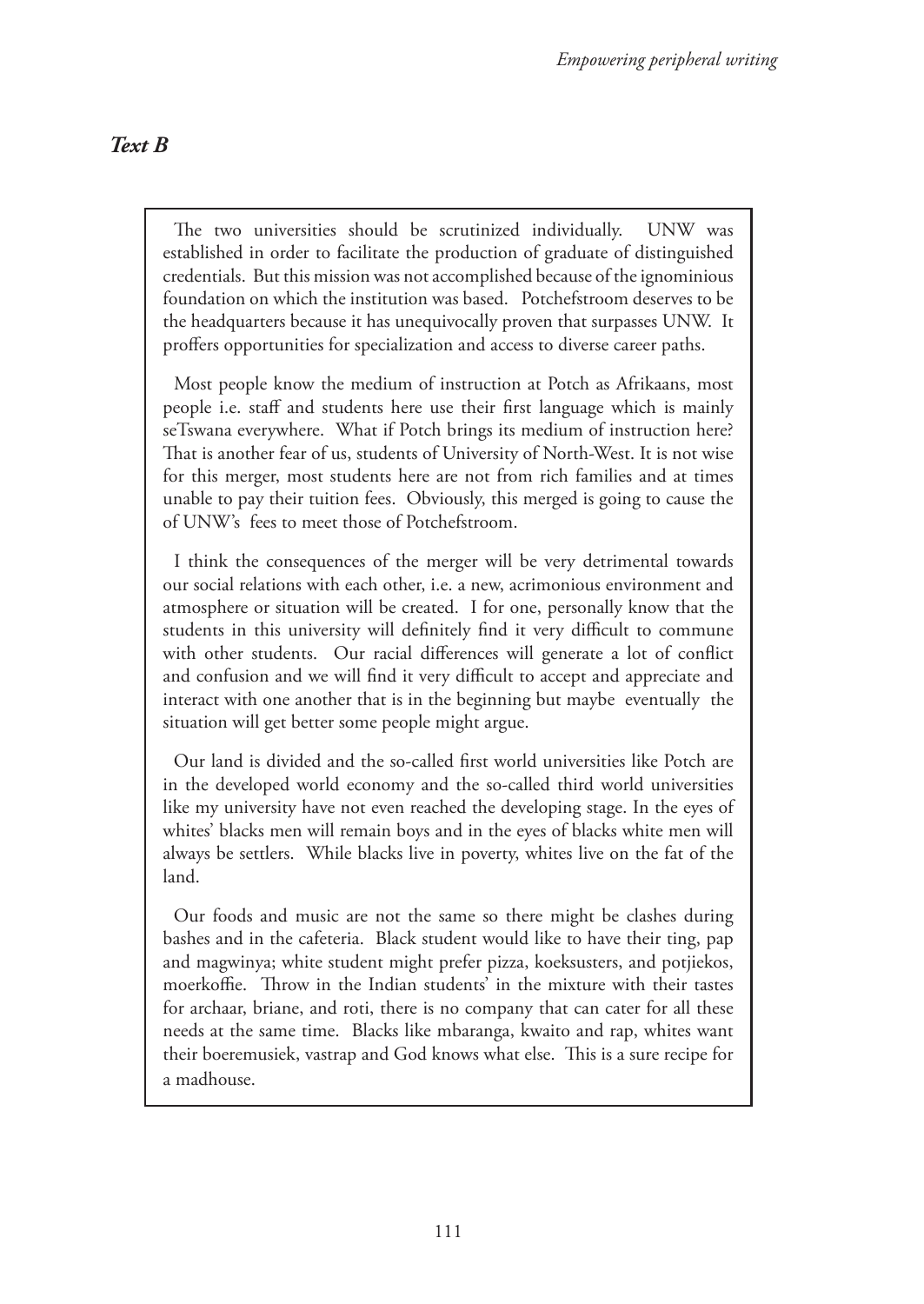## *Text B*

The two universities should be scrutinized individually. UNW was established in order to facilitate the production of graduate of distinguished credentials. But this mission was not accomplished because of the ignominious foundation on which the institution was based. Potchefstroom deserves to be the headquarters because it has unequivocally proven that surpasses UNW. It proffers opportunities for specialization and access to diverse career paths.

Most people know the medium of instruction at Potch as Afrikaans, most people i.e. staff and students here use their first language which is mainly seTswana everywhere. What if Potch brings its medium of instruction here? That is another fear of us, students of University of North-West. It is not wise for this merger, most students here are not from rich families and at times unable to pay their tuition fees. Obviously, this merged is going to cause the of UNW's fees to meet those of Potchefstroom.

I think the consequences of the merger will be very detrimental towards our social relations with each other, i.e. a new, acrimonious environment and atmosphere or situation will be created. I for one, personally know that the students in this university will definitely find it very difficult to commune with other students. Our racial differences will generate a lot of conflict and confusion and we will find it very difficult to accept and appreciate and interact with one another that is in the beginning but maybe eventually the situation will get better some people might argue.

Our land is divided and the so-called first world universities like Potch are in the developed world economy and the so-called third world universities like my university have not even reached the developing stage. In the eyes of whites' blacks men will remain boys and in the eyes of blacks white men will always be settlers. While blacks live in poverty, whites live on the fat of the land.

Our foods and music are not the same so there might be clashes during bashes and in the cafeteria. Black student would like to have their ting, pap and magwinya; white student might prefer pizza, koeksusters, and potjiekos, moerkoffie. Throw in the Indian students' in the mixture with their tastes for archaar, briane, and roti, there is no company that can cater for all these needs at the same time. Blacks like mbaranga, kwaito and rap, whites want their boeremusiek, vastrap and God knows what else. This is a sure recipe for a madhouse.